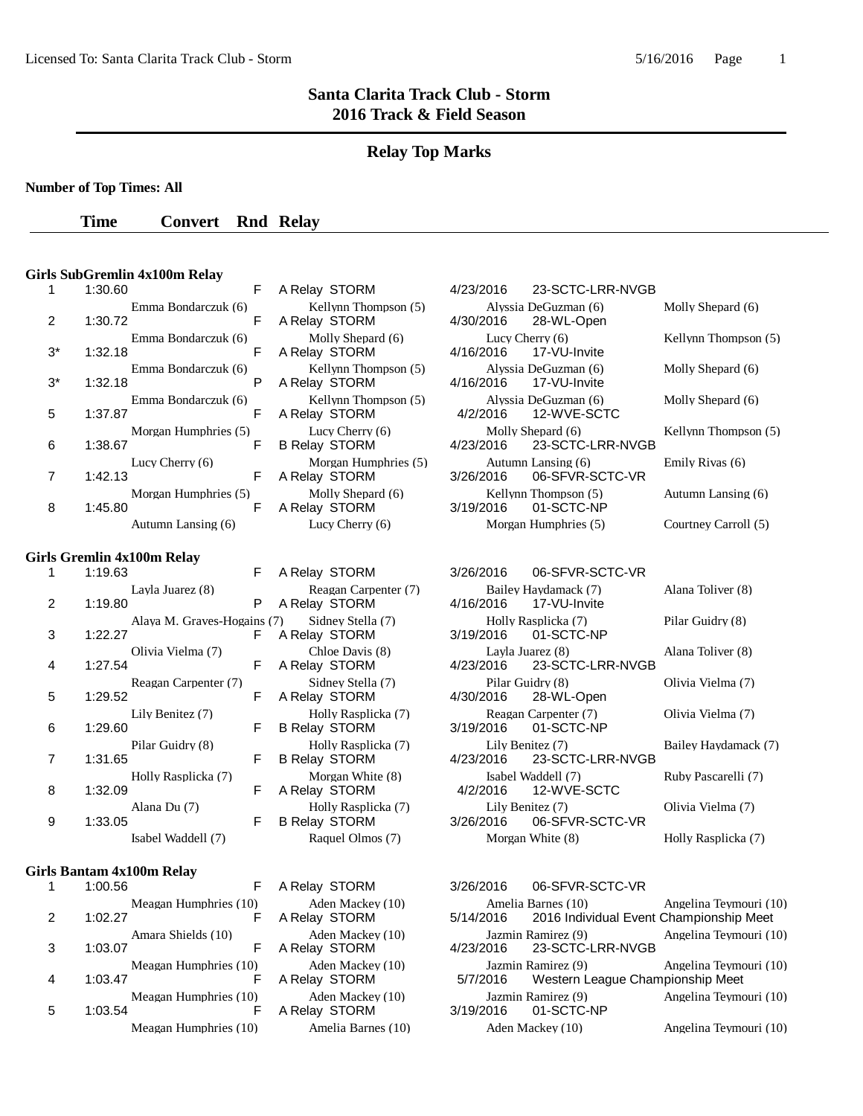### **Relay Top Marks**

**Number of Top Times: All**

**Time Convert Rnd Relay** 

#### **Girls SubGremlin 4x100m Relay**

| 1  | 1:30.60                        |
|----|--------------------------------|
| 2  | Emma Bondarczuk (6)<br>1:30.72 |
|    | Emma Bondarczuk (6)            |
| 3* | 1:32.18<br>F                   |
| 3* | Emma Bondarczuk (6)<br>1:32.18 |
|    | Emma Bondarczuk (6)            |
| 5  | 1:37.87                        |
|    | Morgan Humphries (5)           |
| 6  | 1:38.67<br>F                   |
|    | Lucy Cherry (6)                |
|    | 1:42.13<br>F                   |
|    | Morgan Humphries (5)           |
| 8  | 1:45.80                        |
|    | Autumn Lansing (6)             |

#### **Girls Gremlin 4x100m Relay**

|   | 1:19.63                                                             | ۲ |
|---|---------------------------------------------------------------------|---|
|   | Layla Juarez (8)                                                    |   |
| 2 | 1:19.80                                                             | Р |
|   | Alaya M. Graves-Hogains                                             |   |
| 3 | 1:22.27                                                             | F |
|   | Olivia Vielma (7)                                                   |   |
| 4 | 1:27.54                                                             | F |
|   | Reagan Carpenter (7)                                                |   |
| 5 | 1:29.52                                                             | F |
|   | Lily Benitez (7)                                                    |   |
| 6 | 1:29.60                                                             | F |
|   | Pilar Guidry (8)                                                    |   |
| 7 | 1:31.65                                                             | F |
|   | Holly Rasplicka (7)                                                 |   |
| 8 | 1:32.09                                                             | F |
|   | Alana Du (7)                                                        |   |
| 9 | 1:33.05                                                             | F |
|   | $L_{\rm{sub}} = 1$ $\overline{M}L_{\rm{sub}} = 1.11$ $\overline{M}$ |   |

#### **Girls Bantam 4x100m Relay**

| 1 | 1:00.56 |                       |
|---|---------|-----------------------|
|   |         | Meagan Humphries (10) |
| 2 | 1:02.27 |                       |
|   |         | Amara Shields (10)    |
| 3 | 1:03.07 |                       |
|   |         | Meagan Humphries (10) |
|   | 1:03.47 |                       |
|   |         | Meagan Humphries (10) |
| 5 | 1:03.54 |                       |
|   |         | Meagan Humphries (10) |
|   |         |                       |

| A Relay STORM                                         |
|-------------------------------------------------------|
| Kellynn Thompson (5)<br>A Relay STORM                 |
| Molly Shepard (6)<br>A Relay STORM                    |
| Kellynn Thompson (5)<br>A Relay STORM                 |
| Kellynn Thompson (5)<br>A Relay STORM                 |
| Lucy Cherry (6)<br><b>B Relay STORM</b>               |
| Morgan Humphries (5)<br>A Relay STORM                 |
| Molly Shepard (6)<br>A Relay STORM<br>Lucy Cherry (6) |
|                                                       |

|                             | F. | A Relay STORM                               | 3/26/2016 | 06-SFVR-SCIC-VR                      |                     |
|-----------------------------|----|---------------------------------------------|-----------|--------------------------------------|---------------------|
| Layla Juarez (8)            | P. | Reagan Carpenter (7)<br>A Relay STORM       | 4/16/2016 | Bailey Haydamack (7)<br>17-VU-Invite | Alana Toliver (8)   |
| Alaya M. Graves-Hogains (7) | F  | Sidney Stella (7)<br>A Relay STORM          | 3/19/2016 | Holly Rasplicka (7)<br>01-SCTC-NP    | Pilar Guidry (8)    |
| Olivia Vielma (7)           | F. | Chloe Davis (8)<br>A Relay STORM            | 4/23/2016 | Layla Juarez (8)<br>23-SCTC-LRR-NVGB | Alana Toliver (8)   |
| Reagan Carpenter (7)        | F  | Sidney Stella (7)<br>A Relay STORM          | 4/30/2016 | Pilar Guidry (8)<br>28-WL-Open       | Olivia Vielma (7)   |
| Lily Benitez (7)            | F. | Holly Rasplicka (7)<br><b>B Relay STORM</b> | 3/19/2016 | Reagan Carpenter (7)<br>01-SCTC-NP   | Olivia Vielma (7)   |
| Pilar Guidry (8)            | F. | Holly Rasplicka (7)<br><b>B Relay STORM</b> | 4/23/2016 | Lily Benitez (7)<br>23-SCTC-LRR-NVGB | Bailey Haydamack    |
| Holly Rasplicka (7)         | F  | Morgan White (8)<br>A Relay STORM           | 4/2/2016  | Isabel Waddell (7)<br>12-WVE-SCTC    | Ruby Pascarelli (7) |
| Alana Du (7)                | F  | Holly Rasplicka (7)<br><b>B Relay STORM</b> | 3/26/2016 | Lily Benitez (7)<br>06-SFVR-SCTC-VR  | Olivia Vielma (7)   |
| Isabel Waddell (7)          |    | Raquel Olmos (7)                            |           | Morgan White (8)                     | Holly Rasplicka (7) |

| A Relay STORM |                   |
|---------------|-------------------|
| A Relay STORM | Aden Mackey (10)  |
| A Relay STORM | Aden Mackey (10)  |
| A Relay STORM | Aden Mackey (10)  |
| A Relay STORM | Aden Mackey (10)  |
|               | Amelia Barnes (10 |

### STORM 4/23/2016 23-SCTC-LRR-NVGB Alyssia DeGuzman (6) Molly Shepard (6) Alyssia DeGuzman (6) Molly Shepard (6) 28-WL-Open Emma Bondarcy (6) Emma Bondarcy Cherry (6) Kellynn Thompson (5) 4/16/2016 17-VU-Invite 17-VU-Invite Alyssia DeGuzman (6) Molly Shepard (6) 4/16/2016 17-VU-Invite Alyssia DeGuzman (6) Molly Shepard (6) 4/2/2016 12-WVE-SCTC Molly Shepard (6) Kellynn Thompson (5) 4/23/2016 23-SCTC-LRR-NVGB Autumn Lansing (6) Emily Rivas (6) 3/26/2016 06-SFVR-SCTC-VR Kellynn Thompson (5) Autumn Lansing (6) <br>3/19/2016 01-SCTC-NP 01-SCTC-NP Morgan Humphries (5) Courtney Carroll (5)

3/26/2016 06-SFVR-SCTC-VR Bailey Haydamack (7) Alana Toliver (8) Alana Toliver (8) Alana Toliver (8) 17-VU-Invite Holly Rasplicka (7) Pilar Guidry (8) 3/19/2016 01-SCTC-NP 01-SCTC-NP Layla Juarez (8) Alana Toliver (8) Alana Toliver (8) 4/23/2016 23-SCTC-LRR-NVGB 23-SCTC-LRR-NVGB Pilar Guidry (8) Olivia Vielma (7)  $\frac{4}{30}/2016$  28-WL-Open 28-WL-Open Lily Benitez (7) Holly Rasplicka (7) Reagan Carpenter (7) Olivia Vielma (7) 01-SCTC-NP Lily Benitez (7) Bailey Haydamack (7) 4/23/2016 23-SCTC-LRR-NVGB Isabel Waddell (7) Ruby Pascarelli (7) 4/2/2016 12-WVE-SCTC Alana Du (7) Holly Rasplicka (7) Lily Benitez (7) Olivia Vielma (7) 06-SFVR-SCTC-VR

3/26/2016 06-SFVR-SCTC-VR Amelia Barnes (10) Angelina Teymouri (10) 5/14/2016 2016 Individual Event Championship Meet Jazmin Ramirez (9) Angelina Teymouri (10) 4/23/2016 23-SCTC-LRR-NVGB 23-SCTC-LRR-NVGB Jazmin Ramirez (9) Angelina Teymouri (10) 5/7/2016 Western League Championship Meet Western League Championship Meet Jazmin Ramirez (9) Angelina Teymouri (10) 3/19/2016 01-SCTC-NP (10) Aden Mackey (10) Angelina Teymouri (10)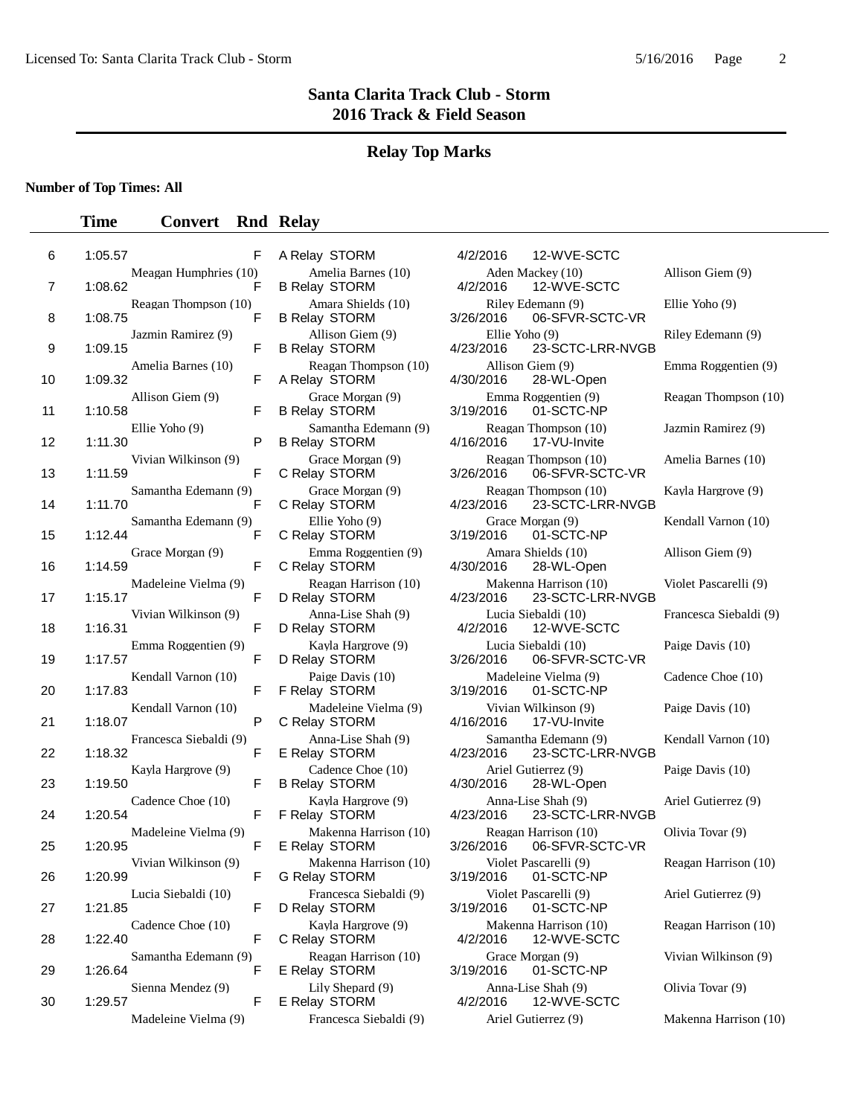### **Relay Top Marks**

#### **Number of Top Times: All**

### **Time Convert Rnd Relay**

| 6  | 1:05.57 | F                           |  |
|----|---------|-----------------------------|--|
| 7  | 1:08.62 | Meagan Humphries (10)<br>F  |  |
| 8  | 1:08.75 | Reagan Thompson (10)<br>F   |  |
| 9  | 1:09.15 | Jazmin Ramirez (9)<br>F     |  |
| 10 | 1:09.32 | Amelia Barnes (10)<br>F     |  |
| 11 | 1:10.58 | Allison Giem (9)<br>F       |  |
| 12 | 1:11.30 | Ellie Yoho (9)<br>Р         |  |
| 13 | 1:11.59 | Vivian Wilkinson (9)<br>F   |  |
|    |         | Samantha Edemann (9)        |  |
| 14 | 1:11.70 | F<br>Samantha Edemann (9)   |  |
| 15 | 1:12.44 | F<br>Grace Morgan (9)       |  |
| 16 | 1:14.59 | F<br>Madeleine Vielma (9)   |  |
| 17 | 1:15.17 | F                           |  |
| 18 | 1:16.31 | Vivian Wilkinson (9)<br>F   |  |
| 19 | 1:17.57 | Emma Roggentien (9)<br>F    |  |
| 20 | 1:17.83 | Kendall Varnon (10)<br>F    |  |
| 21 | 1:18.07 | Kendall Varnon (10)<br>P    |  |
| 22 | 1:18.32 | Francesca Siebaldi (9)<br>F |  |
| 23 | 1:19.50 | Kayla Hargrove (9)<br>F     |  |
|    |         | Cadence Choe (10)           |  |
| 24 | 1:20.54 | F<br>Madeleine Vielma (9)   |  |
| 25 | 1:20.95 | F<br>Vivian Wilkinson (9)   |  |
| 26 | 1:20.99 | ⊦<br>Lucia Siebaldi (10)    |  |
| 27 | 1:21.85 | F<br>Cadence Choe (10)      |  |
| 28 | 1:22.40 | F                           |  |
| 29 | 1:26.64 | Samantha Edemann (9)<br>F   |  |
| 30 | 1:29.57 | Sienna Mendez (9)<br>F      |  |
|    |         | Madeleine Vielma (9)        |  |

**B Relay STORM** C Relay STORM C Relay STORM C Relay STORM Francesca Siebaldi (9)  $\Delta$  Ariel Gutierrez (9) Makenna Harrison (10)

A Relay STORM 4/2/2016 12-WVE-SCTC Amelia Barnes (10) Aden Mackey (10) Allison Giem (9) B Relay STORM 4/2/2016 12-WVE-SCTC Amara Shields (10) Riley Edemann (9) Ellie Yoho (9)<br>B Relay STORM 3/26/2016 06-SFVR-SCTC-VR 06-SFVR-SCTC-VR Allison Giem (9) Ellie Yoho (9) Riley Edemann (9) Riley Edemann (9) Riley Edemann (9) Riley Edemann (9) B Relay STORM 4/23/2016 23-SCTC-LRR-NVGB Reagan Thompson (10) Allison Giem (9) Emma Roggentien (9) A Relay STORM 4/30/2016 28-WL-Open Grace Morgan (9) Emma Roggentien (9) Reagan Thompson (10)<br>
lay STORM 3/19/2016 01-SCTC-NP Samantha Edemann (9) Reagan Thompson (10) Jazmin Ramirez (9) B Relay STORM 4/16/2016 17-VU-Invite Grace Morgan (9) Reagan Thompson (10) Amelia Barnes (10)<br>
lay STORM 3/26/2016 06-SFVR-SCTC-VR C Relay STORM 3/26/2016 06-SFVR-SCTC-VR Grace Morgan (9) Reagan Thompson (10) Kayla Hargrove (9) C Relay STORM 4/23/2016 23-SCTC-LRR-NVGB Ellie Yoho (9) Grace Morgan (9) Kendall Varnon (10) 3/19/2016 01-SCTC-NP C Relay STORM 3/19/2016 01-SCTC-NP Emma Roggentien (9) Amara Shields (10) Allison Giem (9)<br>
lay STORM 4/30/2016 28-WL-Open Reagan Harrison (10) Makenna Harrison (10) Violet Pascarelli (9) D Relay STORM 4/23/2016 23-SCTC-LRR-NVGB Anna-Lise Shah (9) Lucia Siebaldi (10) Francesca Siebaldi (9) D Relay STORM 4/2/2016 12-WVE-SCTC Kayla Hargrove (9) Lucia Siebaldi (10) Paige Davis (10)<br>D Relay STORM 3/26/2016 06-SFVR-SCTC-VR 06-SFVR-SCTC-VR Paige Davis (10) Madeleine Vielma (9) Cadence Choe (10) F Relay STORM 3/19/2016 01-SCTC-NP Madeleine Vielma (9) Vivian Wilkinson (9) Paige Davis (10)<br>
lay STORM 4/16/2016 17-VU-Invite Francesca Siebaldi (9) Anna-Lise Shah (9) Samantha Edemann (9) Kendall Varnon (10) E Relay STORM 4/23/2016 23-SCTC-LRR-NVGB Cadence Choe (10) Ariel Gutierrez (9) Paige Davis (10) B Relay STORM 4/30/2016 28-WL-Open Kayla Hargrove (9) <br>  $(9)$  Anna-Lise Shah (9) Ariel Gutierrez (9)<br>  $4/23/2016$  23-SCTC-LRR-NVGB F Relay STORM 4/23/2016 23-SCTC-LRR-NVGB Makenna Harrison (10) Reagan Harrison (10) Olivia Tovar (9) E Relay STORM 3/26/2016 06-SFVR-SCTC-VR Vivian Wilkinson (9) Makenna Harrison (10) Violet Pascarelli (9) Reagan Harrison (10) G Relay STORM 3/19/2016 01-SCTC-NP Francesca Siebaldi (9) Violet Pascarelli (9) Ariel Gutierrez (9) D Relay STORM 3/19/2016 01-SCTC-NP Kayla Hargrove (9) **Makenna Harrison (10)** Reagan Harrison (10) Reagan Harrison (10) Reagan Harrison (10) Samantha Edemann (9) Reagan Harrison (10) Grace Morgan (9) Vivian Wilkinson (9) E Relay STORM 3/19/2016 01-SCTC-NP Lily Shepard (9) **Anna-Lise Shah (9)** Olivia Tovar (9) E Relay STORM 4/2/2016 12-WVE-SCTC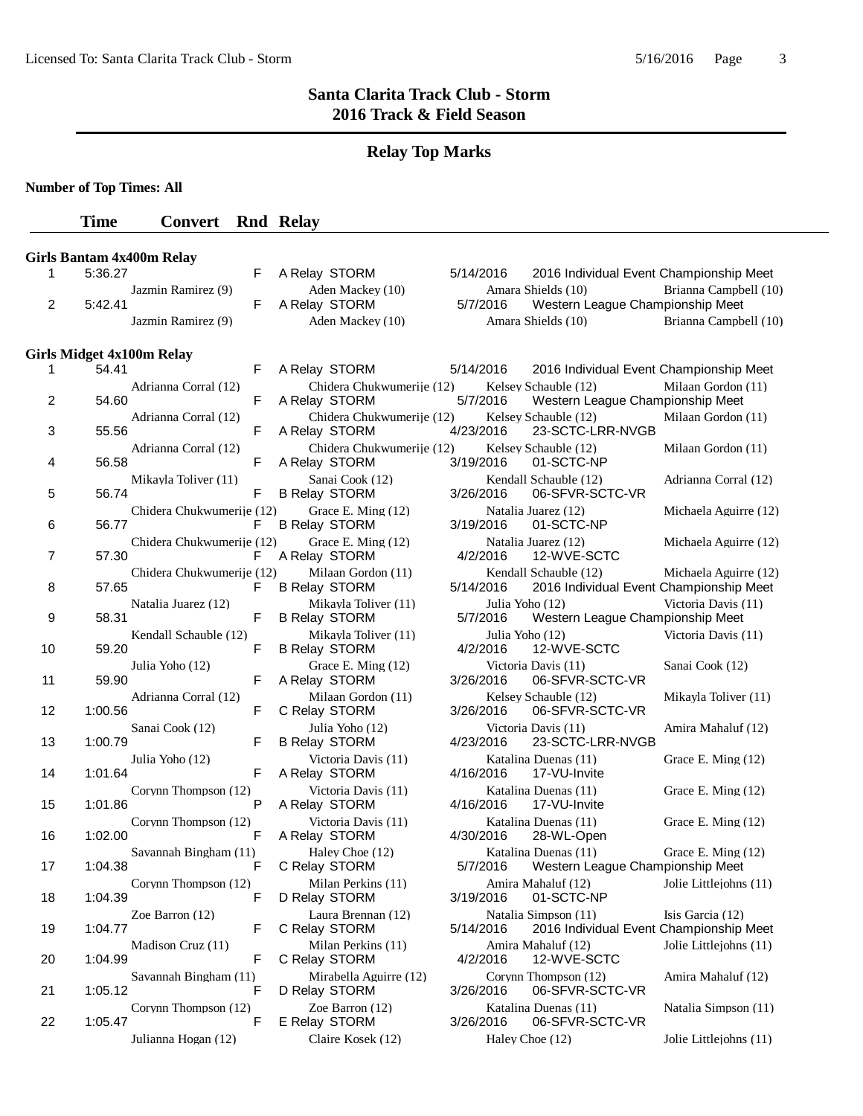# **Relay Top Marks**

**Number of Top Times: All**

# **Time Convert Rnd Relay**

|                |         | <b>Girls Bantam 4x400m Relay</b> |   |                                              |           |                 |                                                                  |                        |
|----------------|---------|----------------------------------|---|----------------------------------------------|-----------|-----------------|------------------------------------------------------------------|------------------------|
| 1              | 5:36.27 |                                  | F | A Relay STORM                                | 5/14/2016 |                 | 2016 Individual Event Championship Meet                          |                        |
| 2              | 5:42.41 | Jazmin Ramirez (9)               | F | Aden Mackey (10)<br>A Relay STORM            | 5/7/2016  |                 | Amara Shields (10)<br>Western League Championship Meet           | Brianna Campbell (10)  |
|                |         | Jazmin Ramirez (9)               |   | Aden Mackey (10)                             |           |                 | Amara Shields (10)                                               | Brianna Campbell (10)  |
|                |         |                                  |   |                                              |           |                 |                                                                  |                        |
| 1              | 54.41   | <b>Girls Midget 4x100m Relay</b> | F | A Relay STORM                                | 5/14/2016 |                 | 2016 Individual Event Championship Meet                          |                        |
| 2              | 54.60   | Adrianna Corral (12)             | F | Chidera Chukwumerije (12)<br>A Relay STORM   | 5/7/2016  |                 | Kelsey Schauble (12)<br>Western League Championship Meet         | Milaan Gordon (11)     |
| 3              | 55.56   | Adrianna Corral (12)             | F | Chidera Chukwumerije (12)<br>A Relay STORM   | 4/23/2016 |                 | Kelsey Schauble (12)<br>23-SCTC-LRR-NVGB                         | Milaan Gordon (11)     |
| 4              | 56.58   | Adrianna Corral (12)             | F | Chidera Chukwumerije (12)<br>A Relay STORM   | 3/19/2016 |                 | Kelsey Schauble (12)<br>01-SCTC-NP                               | Milaan Gordon (11)     |
| 5              | 56.74   | Mikayla Toliver (11)             | F | Sanai Cook (12)<br><b>B Relay STORM</b>      | 3/26/2016 |                 | Kendall Schauble (12)<br>06-SFVR-SCTC-VR                         | Adrianna Corral (12)   |
| 6              | 56.77   | Chidera Chukwumerije (12)        | F | Grace E. Ming (12)<br><b>B Relay STORM</b>   | 3/19/2016 |                 | Natalia Juarez (12)<br>01-SCTC-NP                                | Michaela Aguirre (12)  |
| $\overline{7}$ | 57.30   | Chidera Chukwumerije (12)        | F | Grace E. Ming (12)<br>A Relay STORM          | 4/2/2016  |                 | Natalia Juarez (12)<br>12-WVE-SCTC                               | Michaela Aguirre (12)  |
| 8              | 57.65   | Chidera Chukwumerije (12)        | F | Milaan Gordon (11)<br><b>B Relay STORM</b>   | 5/14/2016 |                 | Kendall Schauble (12)<br>2016 Individual Event Championship Meet | Michaela Aguirre (12)  |
| 9              | 58.31   | Natalia Juarez (12)              | F | Mikayla Toliver (11)<br><b>B Relay STORM</b> | 5/7/2016  | Julia Yoho (12) | Western League Championship Meet                                 | Victoria Davis (11)    |
| 10             | 59.20   | Kendall Schauble (12)            | F | Mikayla Toliver (11)<br><b>B Relay STORM</b> | 4/2/2016  | Julia Yoho (12) | 12-WVE-SCTC                                                      | Victoria Davis (11)    |
| 11             | 59.90   | Julia Yoho (12)                  | F | Grace E. Ming (12)<br>A Relay STORM          | 3/26/2016 |                 | Victoria Davis (11)<br>06-SFVR-SCTC-VR                           | Sanai Cook (12)        |
| 12             | 1:00.56 | Adrianna Corral (12)             | F | Milaan Gordon (11)<br>C Relay STORM          | 3/26/2016 |                 | Kelsey Schauble (12)<br>06-SFVR-SCTC-VR                          | Mikayla Toliver (11)   |
| 13             | 1:00.79 | Sanai Cook (12)                  | F | Julia Yoho (12)<br><b>B Relay STORM</b>      | 4/23/2016 |                 | Victoria Davis (11)<br>23-SCTC-LRR-NVGB                          | Amira Mahaluf (12)     |
| 14             | 1:01.64 | Julia Yoho (12)                  | F | Victoria Davis (11)<br>A Relay STORM         | 4/16/2016 |                 | Katalina Duenas (11)<br>17-VU-Invite                             | Grace E. Ming (12)     |
| 15             | 1:01.86 | Corynn Thompson (12)             | P | Victoria Davis (11)<br>A Relay STORM         | 4/16/2016 |                 | Katalina Duenas (11)<br>17-VU-Invite                             | Grace E. Ming (12)     |
| 16             | 1:02.00 | Corynn Thompson (12)             | F | Victoria Davis (11)<br>A Relay STORM         | 4/30/2016 |                 | Katalina Duenas (11)<br>28-WL-Open                               | Grace E. Ming (12)     |
| 17             | 1:04.38 | Savannah Bingham (11)            | F | Haley Choe (12)<br>C Relay STORM             | 5/7/2016  |                 | Katalina Duenas (11)<br>Western League Championship Meet         | Grace E. Ming (12)     |
| 18             | 1:04.39 | Corynn Thompson (12)             | F | Milan Perkins (11)<br>D Relay STORM          | 3/19/2016 |                 | Amira Mahaluf (12)<br>01-SCTC-NP                                 | Jolie Littlejohns (11) |
| 19             | 1:04.77 | Zoe Barron (12)                  | F | Laura Brennan (12)<br>C Relay STORM          | 5/14/2016 |                 | Natalia Simpson (11)<br>2016 Individual Event Championship Meet  | Isis Garcia (12)       |
| 20             | 1:04.99 | Madison Cruz (11)                | F | Milan Perkins (11)<br>C Relay STORM          | 4/2/2016  |                 | Amira Mahaluf (12)<br>12-WVE-SCTC                                | Jolie Littlejohns (11) |
| 21             | 1:05.12 | Savannah Bingham (11)            | F | Mirabella Aguirre (12)<br>D Relay STORM      | 3/26/2016 |                 | Corynn Thompson (12)<br>06-SFVR-SCTC-VR                          | Amira Mahaluf (12)     |
| 22             | 1:05.47 | Corynn Thompson (12)             | F | Zoe Barron $(12)$<br>E Relay STORM           | 3/26/2016 |                 | Katalina Duenas (11)<br>06-SFVR-SCTC-VR                          | Natalia Simpson (11)   |
|                |         | Julianna Hogan (12)              |   | Claire Kosek (12)                            |           | Haley Choe (12) |                                                                  | Jolie Littlejohns (11) |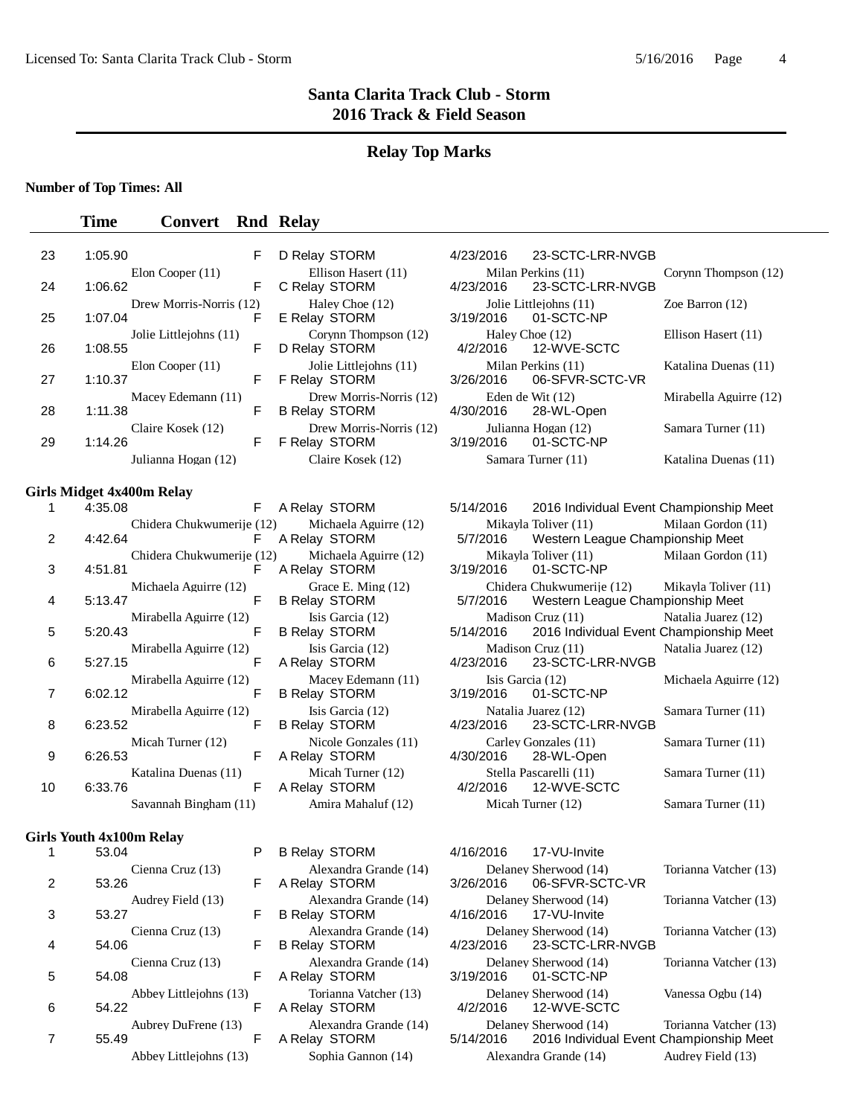### **Relay Top Marks**

### **Number of Top Times: All**

### **Time Convert Rnd Relay**

| 23             | 1:05.90 |                                  | F | D Relay STORM                                   | 4/23/2016                     | 23-SCTC-LRR-NVGB                                              |                        |
|----------------|---------|----------------------------------|---|-------------------------------------------------|-------------------------------|---------------------------------------------------------------|------------------------|
| 24             | 1:06.62 | Elon Cooper (11)                 | F | Ellison Hasert (11)<br>C Relay STORM            | 4/23/2016                     | Milan Perkins (11)<br>23-SCTC-LRR-NVGB                        | Corynn Thompson (12)   |
| 25             | 1:07.04 | Drew Morris-Norris (12)          | F | Haley Choe (12)<br>E Relay STORM                | 3/19/2016                     | Jolie Littleiohns (11)<br>01-SCTC-NP                          | Zoe Barron $(12)$      |
| 26             | 1:08.55 | Jolie Littlejohns (11)           | F | Corynn Thompson (12)<br>D Relay STORM           | Haley Choe (12)<br>4/2/2016   | 12-WVE-SCTC                                                   | Ellison Hasert (11)    |
| 27             | 1:10.37 | Elon Cooper $(11)$               | F | Jolie Littlejohns (11)<br>F Relay STORM         | 3/26/2016                     | Milan Perkins (11)<br>06-SFVR-SCTC-VR                         | Katalina Duenas (11)   |
| 28             | 1:11.38 | Macey Edemann (11)               | F | Drew Morris-Norris (12)<br><b>B Relay STORM</b> | 4/30/2016                     | Eden de Wit $(12)$<br>28-WL-Open                              | Mirabella Aguirre (12) |
| 29             | 1:14.26 | Claire Kosek (12)                | F | Drew Morris-Norris (12)<br>F Relay STORM        | 3/19/2016                     | Julianna Hogan (12)<br>01-SCTC-NP                             | Samara Turner (11)     |
|                |         | Julianna Hogan (12)              |   | Claire Kosek (12)                               |                               | Samara Turner (11)                                            | Katalina Duenas (11)   |
|                |         | <b>Girls Midget 4x400m Relay</b> |   |                                                 |                               |                                                               |                        |
| 1              | 4:35.08 |                                  | F | A Relay STORM                                   | 5/14/2016                     | 2016 Individual Event Championship Meet                       |                        |
| $\overline{c}$ | 4:42.64 | Chidera Chukwumerije (12)        | F | Michaela Aguirre (12)<br>A Relay STORM          | 5/7/2016                      | Mikayla Toliver (11)<br>Western League Championship Meet      | Milaan Gordon (11)     |
| 3              | 4:51.81 | Chidera Chukwumerije (12)        | F | Michaela Aguirre (12)<br>A Relay STORM          | 3/19/2016                     | Mikayla Toliver (11)<br>01-SCTC-NP                            | Milaan Gordon (11)     |
| 4              | 5:13.47 | Michaela Aguirre (12)            | F | Grace E. Ming (12)<br><b>B Relay STORM</b>      | 5/7/2016                      | Chidera Chukwumerije (12)<br>Western League Championship Meet | Mikayla Toliver (11)   |
| 5              | 5:20.43 | Mirabella Aguirre (12)           | F | Isis Garcia (12)<br><b>B Relay STORM</b>        | 5/14/2016                     | Madison Cruz (11)<br>2016 Individual Event Championship Meet  | Natalia Juarez (12)    |
| 6              | 5:27.15 | Mirabella Aguirre (12)           | F | Isis Garcia (12)<br>A Relay STORM               | 4/23/2016                     | Madison Cruz (11)<br>23-SCTC-LRR-NVGB                         | Natalia Juarez (12)    |
| 7              | 6:02.12 | Mirabella Aguirre (12)           | F | Macey Edemann (11)<br><b>B Relay STORM</b>      | Isis Garcia (12)<br>3/19/2016 | 01-SCTC-NP                                                    | Michaela Aguirre (12)  |
| 8              | 6:23.52 | Mirabella Aguirre (12)           | F | Isis Garcia (12)<br><b>B Relay STORM</b>        | 4/23/2016                     | Natalia Juarez (12)<br>23-SCTC-LRR-NVGB                       | Samara Turner (11)     |
| 9              | 6:26.53 | Micah Turner (12)                | F | Nicole Gonzales (11)<br>A Relay STORM           | 4/30/2016                     | Carley Gonzales (11)<br>28-WL-Open                            | Samara Turner (11)     |
| 10             | 6:33.76 | Katalina Duenas (11)             | F | Micah Turner (12)<br>A Relay STORM              | 4/2/2016                      | Stella Pascarelli (11)<br>12-WVE-SCTC                         | Samara Turner (11)     |
|                |         | Savannah Bingham (11)            |   | Amira Mahaluf (12)                              |                               | Micah Turner (12)                                             | Samara Turner (11)     |
|                |         | <b>Girls Youth 4x100m Relay</b>  |   |                                                 |                               |                                                               |                        |
| 1              | 53.04   |                                  | P | <b>B Relay STORM</b>                            | 4/16/2016                     | 17-VU-Invite                                                  |                        |
| $\overline{2}$ | 53.26   | Cienna Cruz (13)                 | F | Alexandra Grande (14)<br>A Relay STORM          | 3/26/2016                     | Delaney Sherwood (14)<br>06-SFVR-SCTC-VR                      | Torianna Vatcher (13)  |
| 3              | 53.27   | Audrey Field (13)                | F | Alexandra Grande (14)<br><b>B Relay STORM</b>   | 4/16/2016                     | Delaney Sherwood (14)<br>17-VU-Invite                         | Torianna Vatcher (13)  |
| 4              | 54.06   | Cienna Cruz (13)                 | F | Alexandra Grande (14)<br><b>B Relay STORM</b>   | 4/23/2016                     | Delaney Sherwood (14)<br>23-SCTC-LRR-NVGB                     | Torianna Vatcher (13)  |
| 5              | 54.08   | Cienna Cruz (13)                 | F | Alexandra Grande (14)<br>A Relay STORM          | 3/19/2016                     | Delaney Sherwood (14)<br>01-SCTC-NP                           | Torianna Vatcher (13)  |

Abbey Littlejohns (13) Torianna Vatcher (13) Delaney Sherwood (14) Vanessa Ogbu (14)

6 54.22 F A Relay STORM 4/2/2016 12-WVE-SCTC Aubrey DuFrene (13) Alexandra Grande (14) Delaney Sherwood (14) Torianna Vatcher (13)<br>F A Relay STORM 5/14/2016 2016 Individual Event Championship Meet 7 55.49 **F** A Relay STORM 5/14/2016 2016 Individual Event Championship Meet Abbey Littlejohns (13) Sophia Gannon (14) Alexandra Grande (14) Audrey Field (13)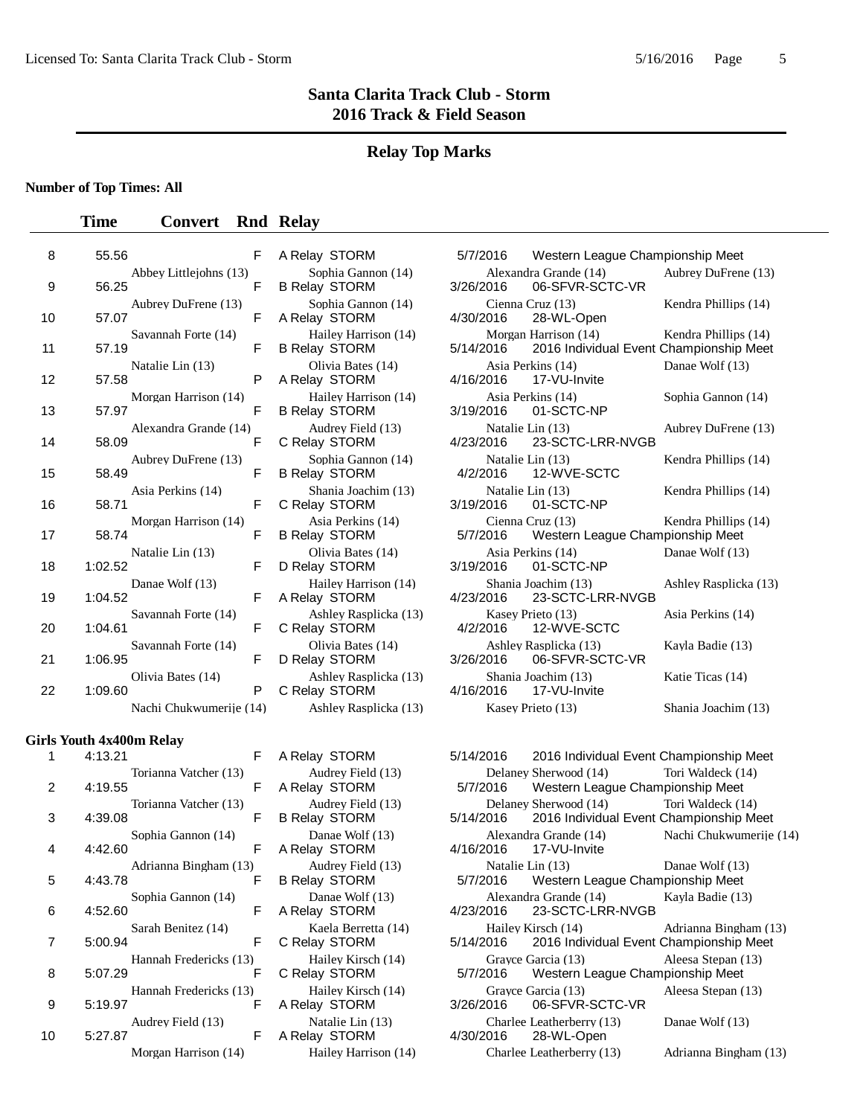# **Relay Top Marks**

## **Number of Top Times: All**

## **Time Convert** Rnd Relay

| 8  | 55.56                 |     | F A Relay STORM 5/7/2016 Western League Char                                                                                   |                  |                                                                             |
|----|-----------------------|-----|--------------------------------------------------------------------------------------------------------------------------------|------------------|-----------------------------------------------------------------------------|
|    |                       |     |                                                                                                                                |                  |                                                                             |
| 9  | 56.25                 |     | Abbey Littlejohns (13) Sophia Gannon (14) Alexandra Grande (14)<br>F B Relay STORM 3/26/2016 06-SFVR-SC                        |                  |                                                                             |
|    | Aubrey DuFrene (13)   |     |                                                                                                                                |                  |                                                                             |
| 10 | 57.07                 | F   | Sophia Gannon (14) Cienna Cruz (13)<br>lay STORM 4/30/2016 28-WL-Open<br>A Relay STORM                                         |                  |                                                                             |
|    | Savannah Forte (14)   |     | Hailey Harrison (14)                                                                                                           |                  | Morgan Harrison (14)                                                        |
| 11 | 57.19                 | F.  | <b>B Relay STORM</b>                                                                                                           |                  | 5/14/2016 2016 Individual Event                                             |
|    | Natalie Lin (13)      |     |                                                                                                                                |                  |                                                                             |
| 12 | 57.58                 | P – | Olivia Bates (14) Asia Perkins (14)<br><b>Alay STORM</b> 4/16/2016 17-VU-Invite<br>A Relay STORM                               |                  |                                                                             |
|    | Morgan Harrison (14)  |     | Hailey Harrison (14) Asia Perkins (14)                                                                                         |                  |                                                                             |
| 13 | 57.97                 | F   | <b>B Relay STORM</b>                                                                                                           |                  | 3/19/2016 01-SCTC-NP                                                        |
|    | Alexandra Grande (14) |     |                                                                                                                                |                  |                                                                             |
| 14 | 58.09                 | F   | C Relay STORM                                                                                                                  |                  | Audrey Field (13) Matalie Lin (13)<br>Play STORM 4/23/2016 23-SCTC-LRR-NVGB |
|    | Aubrey DuFrene (13)   |     |                                                                                                                                |                  |                                                                             |
| 15 | 58.49                 | F   | Sophia Gannon (14)<br>lay STORM 1/2/2016 12-WVE-SCTC<br><b>B Relay STORM</b>                                                   |                  |                                                                             |
|    | Asia Perkins (14)     |     | Shania Joachim (13)                                                                                                            | Natalie Lin (13) |                                                                             |
| 16 | 58.71                 | F.  | C Relay STORM                                                                                                                  |                  | 3/19/2016  01-SCTC-NP                                                       |
|    | Morgan Harrison (14)  |     |                                                                                                                                |                  |                                                                             |
| 17 | 58.74                 | F   | Asia Perkins (14)<br>Gienna Cruz (13)<br>6/7/2016 Western League Char<br>6/7/2016 Western League Char<br>B Relay STORM         |                  |                                                                             |
|    | Natalie Lin (13)      |     |                                                                                                                                |                  |                                                                             |
| 18 | 1:02.52               | F   | Olivia Bates (14) Asia Perkins (14)<br><b>Asia Perkins (14)</b> Asia Perkins (14)<br><b>Asia Perkins (14)</b><br>D Relay STORM |                  |                                                                             |
|    | Danae Wolf (13)       |     |                                                                                                                                |                  |                                                                             |
| 19 | 1:04.52               | F.  | Hailey Harrison (14)<br>A Relay STORM 4/23/2016 23-SCTC-LRR-NVGB                                                               |                  |                                                                             |
|    | Savannah Forte (14)   |     |                                                                                                                                |                  |                                                                             |
| 20 | 1:04.61               | F.  | Ashley Rasplicka (13) Kasey Prieto (13)<br>elay STORM 4/2/2016 12-WVE-SCTC<br>C Relay STORM                                    |                  |                                                                             |
|    | Savannah Forte (14)   |     |                                                                                                                                |                  |                                                                             |
| 21 | 1:06.95               | F.  | Olivia Bates (14)<br>D Relay STORM<br>2/26/2016 06-SFVR-SCTC-VR                                                                |                  |                                                                             |
|    | Olivia Bates (14)     |     |                                                                                                                                |                  |                                                                             |
| 22 | 1:09.60               | P.  | Ashley Rasplicka (13) Shania Joachim (13)<br>C Relay STORM 4/16/2016 17-VU-Invite                                              |                  |                                                                             |
|    |                       |     | Nachi Chukwumerije (14) Ashley Rasplicka (13) Kasey Prieto (13)                                                                |                  |                                                                             |
|    |                       |     |                                                                                                                                |                  |                                                                             |

### **Girls Youth 4x400m Relay**

| 1  | 4:13.21               | F  | A Relay STORM                             | 5/14/2016 | 2016 Individual Event           |
|----|-----------------------|----|-------------------------------------------|-----------|---------------------------------|
|    | Torianna Vatcher (13) |    | Audrey Field (13)                         |           | Delaney Sherwood (14)           |
| 2  | 4:19.55               | F  | A Relay STORM                             | 5/7/2016  | Western League Char             |
|    | Torianna Vatcher (13) |    | Audrey Field (13)                         |           | Delaney Sherwood (14)           |
| 3  | 4:39.08               | F  | <b>B Relay STORM</b>                      |           | 5/14/2016 2016 Individual Event |
|    | Sophia Gannon (14)    |    | Danae Wolf (13)                           |           | Alexandra Grande (14)           |
| 4  | 4:42.60               | F  | A Relay STORM                             |           | 4/16/2016 17-VU-Invite          |
|    | Adrianna Bingham (13) |    | Audrey Field (13)                         |           | Natalie Lin (13)                |
| 5  | 4:43.78               | F  | B Relay STORM                             |           | 5/7/2016 Western League Char    |
|    | Sophia Gannon (14)    |    | Danae Wolf (13)                           |           | Alexandra Grande (14)           |
| 6  | 4:52.60               | F. | A Relay STORM                             |           | 4/23/2016 23-SCTC-LRR-NVGB      |
|    | Sarah Benitez (14)    |    | Kaela Berretta (14)                       |           | Hailey Kirsch (14)              |
| 7  | 5:00.94               | F. | C Relay STORM                             |           | 5/14/2016 2016 Individual Event |
|    |                       |    | Hannah Fredericks (13) Hailey Kirsch (14) |           | Gravce Garcia (13)              |
| 8  | 5:07.29               | F  | C Relay STORM                             |           | 5/7/2016 Western League Char    |
|    |                       |    | Hannah Fredericks (13) Hailey Kirsch (14) |           | Gravce Garcia (13)              |
| 9  | 5:19.97               | F. | A Relay STORM                             |           |                                 |
|    | Audrey Field (13)     |    | Natalie Lin (13)                          |           | Charlee Leatherberry (13)       |
| 10 | 5:27.87               | F  | A Relay STORM 4/30/2016                   |           | 28-WL-Open                      |
|    |                       |    | Morgan Harrison (14) Hailey Harrison (14) |           | Charlee Leatherberry (13)       |

| Sophia Gannon (14)<br><b>B Relay STORM</b>   |
|----------------------------------------------|
| Sophia Gannon (14)<br>A Relay STORM          |
| Hailey Harrison (14)<br><b>B Relay STORM</b> |
| Olivia Bates (14)<br>A Relay STORM           |
| Hailey Harrison (14)<br><b>B Relay STORM</b> |
| Audrey Field (13)<br>C Relay STORM           |
| Sophia Gannon (14)<br><b>B Relay STORM</b>   |
| Shania Joachim (13)<br>C Relay STORM         |
| Asia Perkins (14)<br><b>B Relay STORM</b>    |
| Olivia Bates (14)<br>D Relay STORM           |
| Hailey Harrison (14)<br>A Relay STORM        |
| Ashley Rasplicka (13)<br>C Relay STORM       |
| Olivia Bates (14)<br>D Relay STORM           |
| Ashley Rasplicka (13)<br>C Relay STORM       |
| Ashley Rasplicka (13)                        |
|                                              |

| A Relay STORM        |
|----------------------|
| Audrey Field (13)    |
| A Relay STORM        |
| Audrey Field (13)    |
| B Relay STORM        |
| Danae Wolf (13)      |
| A Relay STORM        |
| Audrey Field (13)    |
| <b>B Relay STORM</b> |
| Danae Wolf (13)      |
| A Relay STORM        |
| Kaela Berretta (14)  |
| C Relay STORM        |
| Hailey Kirsch (14)   |
| C Relay STORM        |
| Hailey Kirsch (14)   |
| A Relay STORM        |
| Natalie Lin (13)     |
| A Relay STORM        |
| Hailey Harrison (14) |

| 8  | 55.56                           | F | A Relay STORM                                    | 5/7/2016 Western League Championship Meet                                 |                                                                 |
|----|---------------------------------|---|--------------------------------------------------|---------------------------------------------------------------------------|-----------------------------------------------------------------|
| 9  | Abbey Littlejohns (13)<br>56.25 | E | Sophia Gannon (14)<br><b>B Relay STORM</b>       | Alexandra Grande (14) Aubrey DuFrene (13)<br>06-SFVR-SCTC-VR<br>3/26/2016 |                                                                 |
| 10 | Aubrey DuFrene (13)<br>57.07    | F | Sophia Gannon (14)<br>A Relay STORM              | Cienna Cruz $(13)$<br>4/30/2016<br>28-WL-Open                             | Kendra Phillips (14)                                            |
| 11 | Savannah Forte (14)<br>57.19    | F | Hailey Harrison (14)<br><b>B Relay STORM</b>     | Morgan Harrison (14)<br>5/14/2016                                         | Kendra Phillips (14)<br>2016 Individual Event Championship Meet |
| 12 | Natalie Lin (13)<br>57.58       | P | Olivia Bates (14)<br>A Relay STORM               | Asia Perkins (14)<br>4/16/2016<br>17-VU-Invite                            | Danae Wolf (13)                                                 |
| 13 | Morgan Harrison (14)<br>57.97   | F | Hailey Harrison (14)<br><b>B Relay STORM</b>     | Asia Perkins (14)<br>01-SCTC-NP<br>3/19/2016                              | Sophia Gannon (14)                                              |
| 14 | Alexandra Grande (14)<br>58.09  | F | Audrey Field (13)<br>C Relay STORM               | Natalie Lin (13)<br>4/23/2016<br>23-SCTC-LRR-NVGB                         | Aubrey DuFrene (13)                                             |
| 15 | Aubrey DuFrene (13)<br>58.49    | F | Sophia Gannon (14)<br><b>B Relay STORM</b>       | Natalie Lin (13)<br>4/2/2016<br>12-WVE-SCTC                               | Kendra Phillips (14)                                            |
| 16 | Asia Perkins (14)<br>58.71      | F | Shania Joachim (13)<br>C Relay STORM             | Natalie Lin (13)<br>3/19/2016<br>01-SCTC-NP                               | Kendra Phillips (14)                                            |
| 17 | Morgan Harrison (14)<br>58.74   | F | Asia Perkins (14)<br><b>B Relay STORM</b>        | Cienna Cruz $(13)$<br>5/7/2016 Western League Championship Meet           | Kendra Phillips (14)                                            |
| 18 | Natalie Lin (13)<br>1:02.52     | F | Olivia Bates (14)<br>D Relay STORM               | Asia Perkins (14)<br>3/19/2016<br>01-SCTC-NP                              | Danae Wolf (13)                                                 |
| 19 | Danae Wolf (13)<br>1:04.52      | F | Hailey Harrison (14)<br>A Relay STORM            | Shania Joachim (13)<br>4/23/2016 23-SCTC-LRR-NVGB                         | Ashley Rasplicka (13)                                           |
| 20 | Savannah Forte (14)<br>1:04.61  | F | Ashley Rasplicka (13)<br>C Relay STORM           | Kasey Prieto (13)<br>4/2/2016<br>12-WVE-SCTC                              | Asia Perkins (14)                                               |
| 21 | Savannah Forte (14)<br>1:06.95  | F | Olivia Bates (14)<br>D Relay STORM 3/26/2        | Ashley Rasplicka (13)<br>06-SFVR-SCTC-VR<br>3/26/2016                     | Kayla Badie (13)                                                |
| 22 | Olivia Bates (14)<br>1:09.60    | P | Ashley Rasplicka (13)<br>C Relay STORM 4/16/2016 | Shania Joachim (13)<br>17-VU-Invite                                       | Katie Ticas (14)                                                |
|    | Nachi Chukwumerije (14)         |   | Ashley Rasplicka (13)                            | Kasey Prieto (13)                                                         | Shania Joachim (13)                                             |

| 1              | 4:13.21                                                              | F A Relay STORM                           | 5/14/2016 2016 Individual Event Championship Meet                                                            |  |
|----------------|----------------------------------------------------------------------|-------------------------------------------|--------------------------------------------------------------------------------------------------------------|--|
| $\overline{c}$ |                                                                      | Torianna Vatcher (13) Audrey Field (13)   | Delaney Sherwood (14) Tori Waldeck (14)<br>4:19.55 F A Relay STORM 5/7/2016 Western League Championship Meet |  |
| 3              | 4:39.08 F B Relay STORM                                              | Torianna Vatcher (13) Audrey Field (13)   | Delaney Sherwood (14) Tori Waldeck (14)<br>5/14/2016 2016 Individual Event Championship Meet                 |  |
| 4              | Sophia Gannon (14)<br>4:42.60 F A Relay STORM 4/16/2016 17-VU-Invite | Danae Wolf (13)                           | Alexandra Grande (14) Nachi Chukwumerije (14)                                                                |  |
| 5              |                                                                      | Adrianna Bingham (13) Audrey Field (13)   | Natalie Lin (13) Danae Wolf (13)<br>4:43.78 F B Relay STORM 5/7/2016 Western League Championship Meet        |  |
| 6              | Sophia Gannon (14)                                                   | Danae Wolf (13)                           | Alexandra Grande (14) Kayla Badie (13)<br>4:52.60 F A Relay STORM 4/23/2016 23-SCTC-LRR-NVGB                 |  |
| 7              | 5:00.94 F C Relay STORM                                              | Sarah Benitez (14) Kaela Berretta (14)    | Hailey Kirsch (14) Adrianna Bingham (13)<br>5/14/2016 2016 Individual Event Championship Meet                |  |
| 8              |                                                                      | Hannah Fredericks (13) Hailey Kirsch (14) | Grayce Garcia (13) Aleesa Stepan (13)<br>5:07.29 F C Relay STORM 5/7/2016 Western League Championship Meet   |  |
| 9              | 5:19.97 <b>F</b> A Relay STORM                                       | Hannah Fredericks (13) Hailey Kirsch (14) | Grayce Garcia (13) Aleesa Stepan (13)                                                                        |  |
| 0              | 5:27.87 			 F A Relay STORM 			 4/30/2016 		 28-WL-Open              |                                           | Audrey Field (13) Natalie Lin (13) Charlee Leatherberry (13) Danae Wolf (13)                                 |  |
|                |                                                                      |                                           | Morgan Harrison (14) Hailey Harrison (14) Charlee Leatherberry (13) Adrianna Bingham (13)                    |  |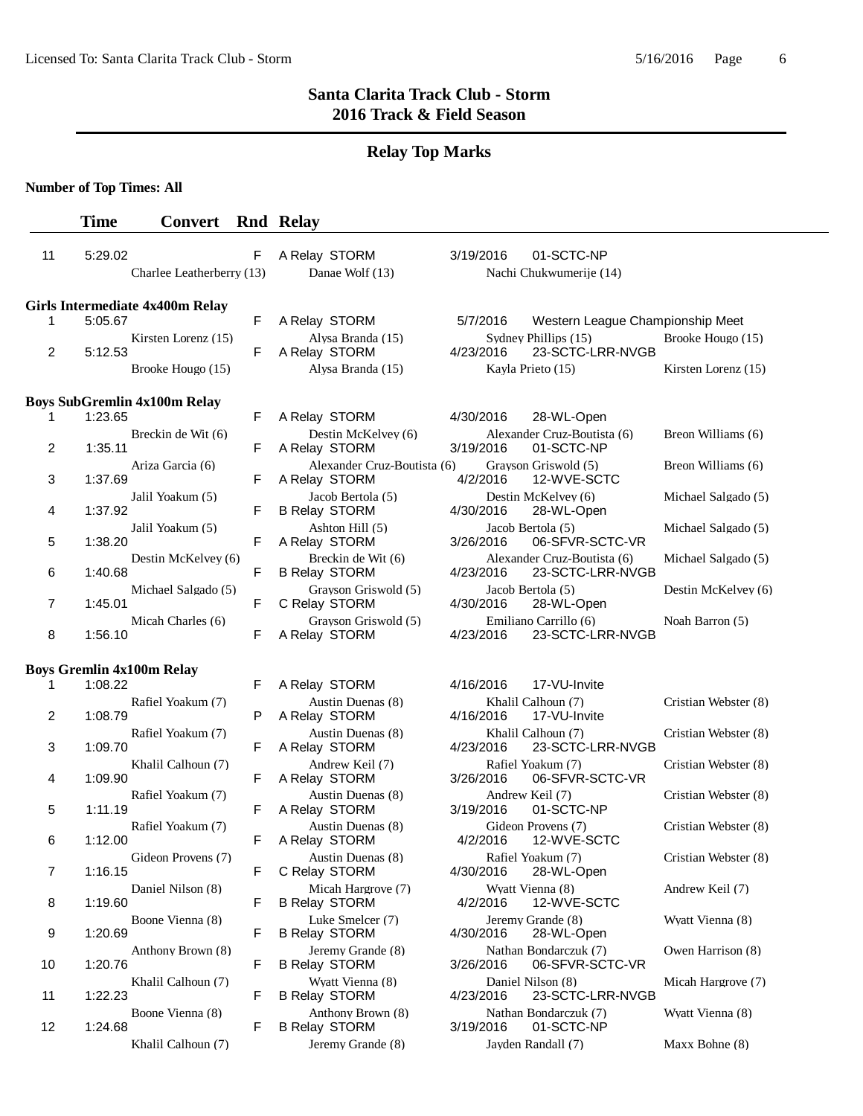# **Relay Top Marks**

**Number of Top Times: All**

|    | <b>Time</b> | <b>Convert</b>                         |   | <b>Rnd Relay</b>                             |           |                                           |                      |
|----|-------------|----------------------------------------|---|----------------------------------------------|-----------|-------------------------------------------|----------------------|
| 11 | 5:29.02     | Charlee Leatherberry (13)              | F | A Relay STORM<br>Danae Wolf (13)             | 3/19/2016 | 01-SCTC-NP<br>Nachi Chukwumerije (14)     |                      |
|    |             | <b>Girls Intermediate 4x400m Relay</b> |   |                                              |           |                                           |                      |
| 1  | 5:05.67     |                                        | F | A Relay STORM                                | 5/7/2016  | Western League Championship Meet          |                      |
|    | 5:12.53     | Kirsten Lorenz (15)                    | F | Alysa Branda (15)                            | 4/23/2016 | Sydney Phillips (15)                      | Brooke Hougo (15)    |
| 2  |             | Brooke Hougo (15)                      |   | A Relay STORM<br>Alysa Branda (15)           |           | 23-SCTC-LRR-NVGB<br>Kavla Prieto (15)     | Kirsten Lorenz (15)  |
|    |             |                                        |   |                                              |           |                                           |                      |
|    |             | <b>Boys SubGremlin 4x100m Relay</b>    |   |                                              |           |                                           |                      |
| 1  | 1:23.65     |                                        | F | A Relay STORM                                | 4/30/2016 | 28-WL-Open                                |                      |
| 2  | 1:35.11     | Breckin de Wit (6)                     | F | Destin McKelvey (6)<br>A Relay STORM         | 3/19/2016 | Alexander Cruz-Boutista (6)<br>01-SCTC-NP | Breon Williams (6)   |
|    |             | Ariza Garcia (6)                       |   | Alexander Cruz-Boutista (6)                  |           | Grayson Griswold (5)                      | Breon Williams (6)   |
| 3  | 1:37.69     |                                        | F | A Relay STORM                                | 4/2/2016  | 12-WVE-SCTC                               |                      |
| 4  | 1:37.92     | Jalil Yoakum (5)                       | F | Jacob Bertola (5)<br><b>B Relay STORM</b>    | 4/30/2016 | Destin McKelvey (6)<br>28-WL-Open         | Michael Salgado (5)  |
| 5  | 1:38.20     | Jalil Yoakum (5)                       | F | Ashton Hill (5)<br>A Relay STORM             | 3/26/2016 | Jacob Bertola (5)<br>06-SFVR-SCTC-VR      | Michael Salgado (5)  |
|    |             | Destin McKelvey (6)                    |   | Breckin de Wit (6)                           |           | Alexander Cruz-Boutista (6)               | Michael Salgado (5)  |
| 6  | 1:40.68     | Michael Salgado (5)                    | F | <b>B Relay STORM</b><br>Grayson Griswold (5) | 4/23/2016 | 23-SCTC-LRR-NVGB<br>Jacob Bertola (5)     | Destin McKelvey (6)  |
| 7  | 1:45.01     |                                        | F | C Relay STORM                                | 4/30/2016 | 28-WL-Open                                |                      |
| 8  | 1:56.10     | Micah Charles (6)                      | F | Grayson Griswold (5)<br>A Relay STORM        | 4/23/2016 | Emiliano Carrillo (6)<br>23-SCTC-LRR-NVGB | Noah Barron (5)      |
|    |             |                                        |   |                                              |           |                                           |                      |
| 1  | 1:08.22     | <b>Boys Gremlin 4x100m Relay</b>       | F | A Relay STORM                                | 4/16/2016 | 17-VU-Invite                              |                      |
|    |             | Rafiel Yoakum (7)                      |   | Austin Duenas (8)                            |           | Khalil Calhoun (7)                        | Cristian Webster (8) |
| 2  | 1:08.79     |                                        | P | A Relay STORM                                | 4/16/2016 | 17-VU-Invite                              |                      |
| 3  | 1:09.70     | Rafiel Yoakum (7)                      | F | Austin Duenas (8)<br>A Relay STORM           | 4/23/2016 | Khalil Calhoun (7)<br>23-SCTC-LRR-NVGB    | Cristian Webster (8) |
|    |             | Khalil Calhoun (7)                     |   | Andrew Keil (7)                              |           | Rafiel Yoakum (7)                         | Cristian Webster (8) |
| 4  | 1:09.90     |                                        | F | A Relay STORM                                | 3/26/2016 | 06-SFVR-SCTC-VR                           |                      |
| 5  | 1:11.19     | Rafiel Yoakum (7)                      | F | Austin Duenas (8)<br>A Relay STORM           | 3/19/2016 | Andrew Keil (7)<br>01-SCTC-NP             | Cristian Webster (8) |
|    |             | Rafiel Yoakum (7)                      | F | Austin Duenas (8)                            |           | Gideon Provens (7)                        | Cristian Webster (8) |
| 6  | 1:12.00     | Gideon Provens (7)                     |   | A Relay STORM<br>Austin Duenas (8)           | 4/2/2016  | 12-WVE-SCTC<br>Rafiel Yoakum (7)          | Cristian Webster (8) |
| 7  | 1:16.15     |                                        | F | C Relay STORM                                | 4/30/2016 | 28-WL-Open                                |                      |
| 8  | 1:19.60     | Daniel Nilson (8)                      | F | Micah Hargrove (7)<br><b>B Relay STORM</b>   | 4/2/2016  | Wyatt Vienna (8)<br>12-WVE-SCTC           | Andrew Keil (7)      |
| 9  | 1:20.69     | Boone Vienna (8)                       | F | Luke Smelcer (7)<br><b>B Relay STORM</b>     | 4/30/2016 | Jeremy Grande (8)<br>28-WL-Open           | Wyatt Vienna (8)     |
| 10 | 1:20.76     | Anthony Brown (8)                      | F | Jeremy Grande (8)<br><b>B Relay STORM</b>    | 3/26/2016 | Nathan Bondarczuk (7)<br>06-SFVR-SCTC-VR  | Owen Harrison (8)    |
|    |             | Khalil Calhoun (7)                     |   | Wyatt Vienna (8)                             |           | Daniel Nilson (8)                         | Micah Hargrove (7)   |
| 11 | 1:22.23     |                                        | F | <b>B Relay STORM</b>                         | 4/23/2016 | 23-SCTC-LRR-NVGB                          |                      |
| 12 | 1:24.68     | Boone Vienna (8)                       | F | Anthony Brown (8)<br><b>B Relay STORM</b>    | 3/19/2016 | Nathan Bondarczuk (7)<br>01-SCTC-NP       | Wyatt Vienna (8)     |
|    |             | Khalil Calhoun (7)                     |   | Jeremy Grande (8)                            |           | Jayden Randall (7)                        | Maxx Bohne (8)       |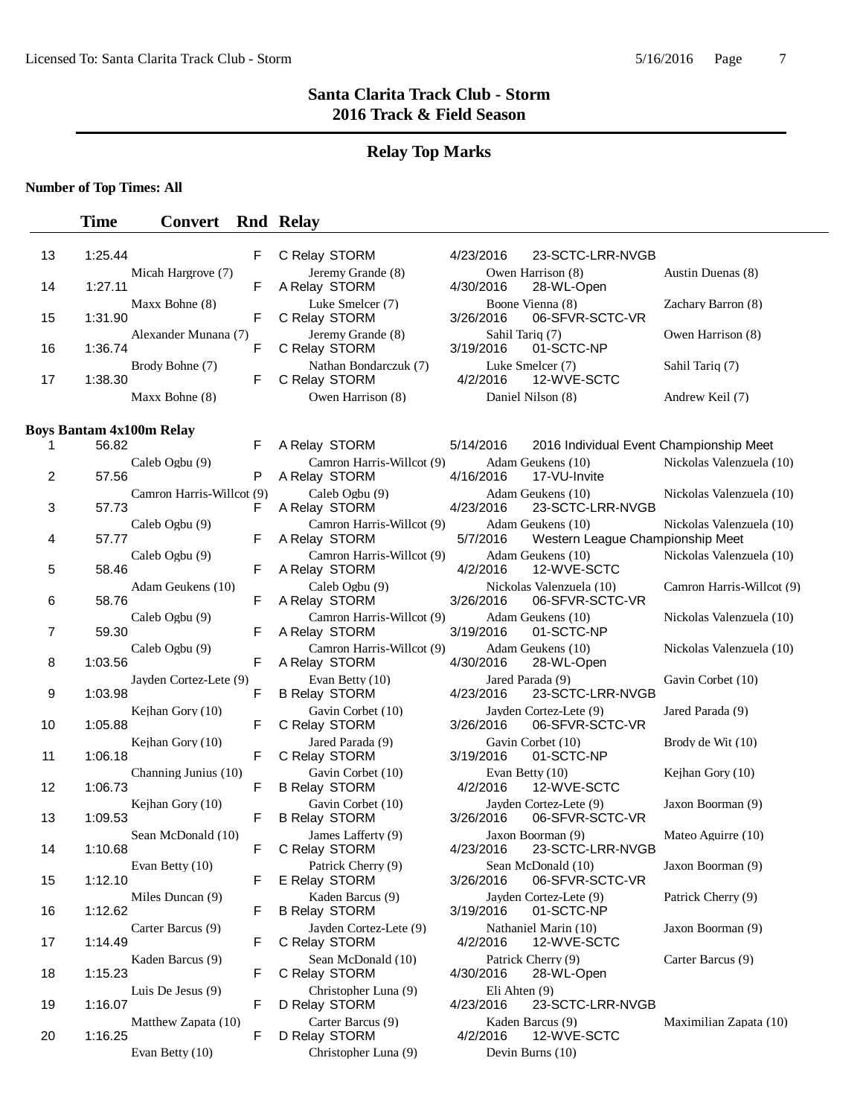**Time Convert Rnd Relay** 

## **Santa Clarita Track Club - Storm 2016 Track & Field Season**

### **Relay Top Marks**

#### **Number of Top Times: All**

### 13 1:25.44 F C Relay STORM 4/23/2016 23-SCTC-LRR-NVGB Micah Hargrove (7) Jeremy Grande (8) Owen Harrison (8) Austin Duenas (8) 14 1:27.11 F A Relay STORM 4/30/2016 28-WL-Open Maxx Bohne (8) Luke Smelcer (7) Boone Vienna (8) Zachary Barron (8)<br>F C Relay STORM 3/26/2016 06-SFVR-SCTC-VR 15 1:31.90 F C Relay STORM 3/26/2016 06-SFVR-SCTC-VR Alexander Munana (7) Jeremy Grande (8) Sahil Tariq (7) Owen Harrison (8)<br>
F C Relay STORM 3/19/2016 01-SCTC-NP 16 1:36.74 F C Relay STORM Brody Bohne (7) Mathan Bondarczuk (7) Luke Smelcer (7) Sahil Tariq (7) F C Relay STORM 4/2/2016 12-WVE-SCTC 17 1:38.30 F C Relay STORM 4/2/2016 12-WVE-SCTC Maxx Bohne (8) Owen Harrison (8) Daniel Nilson (8) Andrew Keil (7) **Boys Bantam 4x100m Relay**  1 A Relay STORM 5/14/2016 56.82 F 2016 Individual Event Championship Meet Caleb Ogbu (9) Camron Harris-Willcot (9) Adam Geukens (10) Nickolas Valenzuela (10) 2 57.56 P A Relay STORM 4/16/2016 17-VU-Invite Camron Harris-Willcot (9) Caleb Ogbu (9) Adam Geukens (10) Nickolas Valenzuela (10)<br>
F A Relay STORM 4/23/2016 23-SCTC-LRR-NVGB 3 57.73 F A Relay STORM 4/23/2016 23-SCTC-LRR-NVGB Caleb Ogbu (9) Camron Harris-Willcot (9) Adam Geukens (10) Nickolas Valenzuela (10) 4 57.77 **F** A Relay STORM 5/7/2016 Western League Championship Meet Caleb Ogbu (9) Camron Harris-Willcot (9) Adam Geukens (10) Nickolas Valenzuela (10)<br>
F A Relay STORM 4/2/2016 12-WVF-SCTC 5 58.46 F A Relay STORM 4/2/2016 12-WVE-SCTC Adam Geukens (10) Caleb Ogbu (9) Nickolas Valenzuela (10) Camron Harris-Willcot (9)<br>
F A Relay STORM 3/26/2016 06-SFVR-SCTC-VR 6 A Relay STORM 3/26/2016 58.76 F 06-SFVR-SCTC-VR Caleb Ogbu (9) Camron Harris-Willcot (9) Adam Geukens (10) Nickolas Valenzuela (10)<br>
F A Relay STORM 3/19/2016 01-SCTC-NP 7 59.30 F A Relay STORM 3/19/2016 01-SCTC-NP Caleb Ogbu (9) Camron Harris-Willcot (9) Adam Geukens (10) Nickolas Valenzuela (10)<br>
F A Relay STORM 4/30/2016 28-WL-Open 8 A Relay STORM 4/30/2016 1:03.56 F 28-WL-Open Jayden Cortez-Lete (9) Evan Betty (10) Jared Parada (9) Gavin Corbet (10) 9 1:03.98 F B Relay STORM 4/23/2016 23-SCTC-LRR-NVGB Kejhan Gory (10) Gavin Corbet (10) Jayden Cortez-Lete (9) Jared Parada (9)<br>
F C Relay STORM 3/26/2016 06-SFVR-SCTC-VR 10 1:05.88 F C Relay STORM 3/26/2016 06-SFVR-SCTC-VR Kejhan Gory (10) *Jared Parada (9)* Gavin Corbet (10) Brody de Wit (10)<br>F C Relay STORM 3/19/2016 01-SCTC-NP 11 1:06.18 F C Relay STORM 3/19/2016 01-SCTC-NP Channing Junius (10) Gavin Corbet (10) Evan Betty (10) Kejhan Gory (10)<br>
F B Relay STORM 4/2/2016 12-WVE-SCTC 12 1:06.73 F B Relay STORM 4/2/2016 12-WVE-SCTC Kejhan Gory (10) Gavin Corbet (10) Jayden Cortez-Lete (9) Jaxon Boorman (9) 13 1:09.53 F B Relay STORM 3/26/2016 06-SFVR-SCTC-VR Sean McDonald (10) James Lafferty (9) Jaxon Boorman (9) Mateo Aguirre (10)<br>F C Relay STORM 4/23/2016 23-SCTC-LRR-NVGB 14 1:10.68 F C Relay STORM 4/23/2016 23-SCTC-LRR-NVGB Evan Betty (10) Patrick Cherry (9) Sean McDonald (10) Jaxon Boorman (9)<br>F E Relay STORM 3/26/2016 06-SFVR-SCTC-VR 15 1:12.10 F E Relay STORM 3/26/2016 06-SFVR-SCTC-VR Miles Duncan (9) Kaden Barcus (9) Jayden Cortez-Lete (9) Patrick Cherry (9) 16 1:12.62 F B Relay STORM 3/19/2016 01-SCTC-NP Carter Barcus (9) Jayden Cortez-Lete (9) Nathaniel Marin (10) Jaxon Boorman (9)<br>
F C Relay STORM 4/2/2016 12-WVE-SCTC 17 1:14.49 F C Relay STORM 4/2/2016 12-WVE-SCTC Kaden Barcus (9) Sean McDonald (10) Patrick Cherry (9) Carter Barcus (9)<br>F C Relay STORM 4/30/2016 28-WL-Open 18 1:15.23 F C Relay STORM 4/30/2016 28-WL-Open Luis De Jesus (9) Christopher Luna (9) Eli Ahten (9) 19 1:16.07 F D Relay STORM 4/23/2016 23-SCTC-LRR-NVGB Matthew Zapata (10) Carter Barcus (9) (Sarter Barcus (9) (Sarter Barcus (9) (Maximilian Zapata (10) (Maximilian Zapata (10) (Sarter Barcus (9) (Sarter Barcus (9) (Sarter Barcus (9) (Sarter Barcus (9) (Sarter Barcus (9) (Sa 20 1:16.25 **F D Relay STORM 4/2/2016 12-WVE-SCTC** Evan Betty (10) Christopher Luna (9) Devin Burns (10)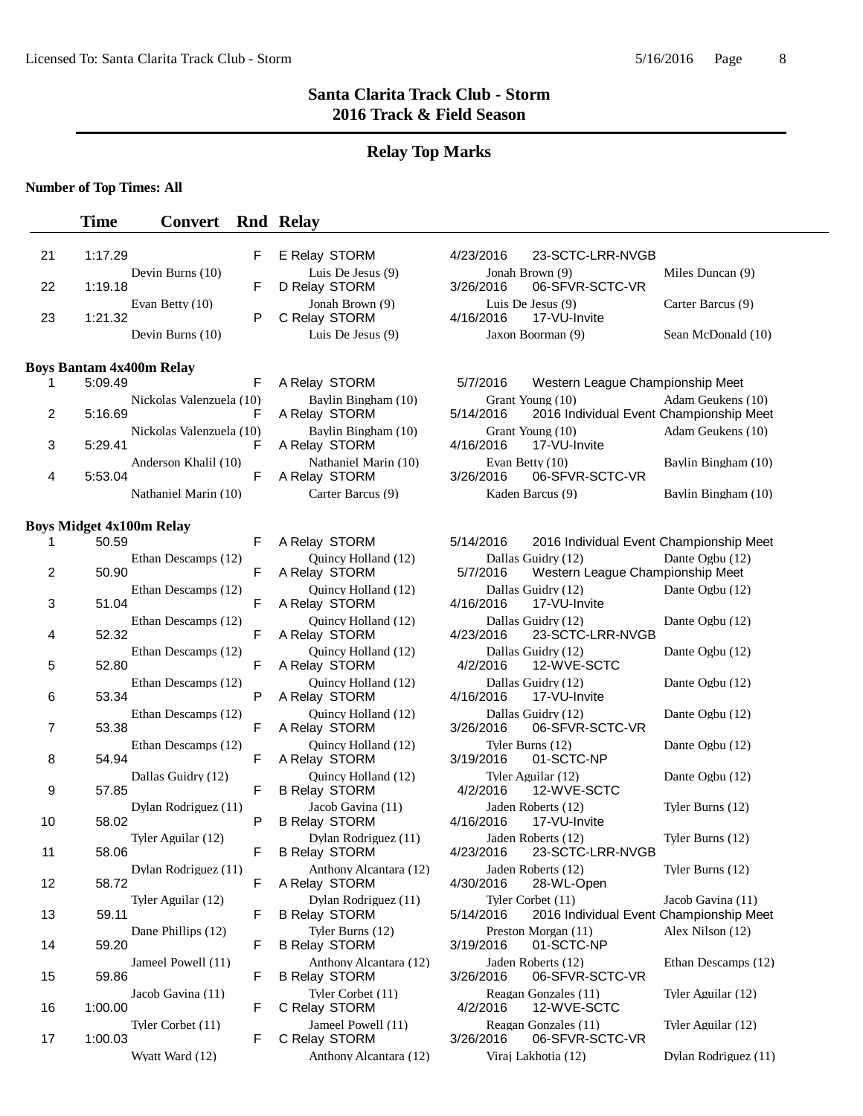# **Relay Top Marks**

## **Number of Top Times: All**

|    | <b>Time</b>                     | <b>Convert</b>           |   | <b>Rnd Relay</b>                               |                                                                           |                      |
|----|---------------------------------|--------------------------|---|------------------------------------------------|---------------------------------------------------------------------------|----------------------|
| 21 | 1:17.29                         |                          | F | E Relay STORM                                  | 4/23/2016<br>23-SCTC-LRR-NVGB                                             |                      |
|    |                                 | Devin Burns (10)         |   | Luis De Jesus (9)                              | Jonah Brown (9)                                                           | Miles Duncan (9)     |
| 22 | 1:19.18                         | Evan Betty (10)          | F | D Relay STORM<br>Jonah Brown (9)               | 3/26/2016<br>06-SFVR-SCTC-VR<br>Luis De Jesus (9)                         | Carter Barcus (9)    |
| 23 | 1:21.32                         |                          | P | C Relay STORM                                  | 4/16/2016<br>17-VU-Invite                                                 |                      |
|    |                                 | Devin Burns (10)         |   | Luis De Jesus (9)                              | Jaxon Boorman (9)                                                         | Sean McDonald (10)   |
|    | <b>Boys Bantam 4x400m Relay</b> |                          |   |                                                |                                                                           |                      |
| 1  | 5:09.49                         |                          | F | A Relay STORM                                  | 5/7/2016<br>Western League Championship Meet                              |                      |
| 2  | 5:16.69                         | Nickolas Valenzuela (10) | F | Baylin Bingham (10)<br>A Relay STORM           | Grant Young (10)<br>2016 Individual Event Championship Meet<br>5/14/2016  | Adam Geukens (10)    |
| 3  | 5:29.41                         | Nickolas Valenzuela (10) | F | Baylin Bingham (10)<br>A Relay STORM           | Grant Young (10)<br>4/16/2016<br>17-VU-Invite                             | Adam Geukens (10)    |
| 4  | 5:53.04                         | Anderson Khalil (10)     | F | Nathaniel Marin (10)<br>A Relay STORM          | Evan Betty (10)<br>3/26/2016<br>06-SFVR-SCTC-VR                           | Baylin Bingham (10)  |
|    |                                 | Nathaniel Marin (10)     |   | Carter Barcus (9)                              | Kaden Barcus (9)                                                          | Baylin Bingham (10)  |
|    | <b>Boys Midget 4x100m Relay</b> |                          |   |                                                |                                                                           |                      |
| 1  | 50.59                           |                          | F | A Relay STORM                                  | 5/14/2016<br>2016 Individual Event Championship Meet                      |                      |
| 2  | 50.90                           | Ethan Descamps (12)      | F | Ouincy Holland (12)<br>A Relay STORM           | Dallas Guidry (12)<br>5/7/2016<br>Western League Championship Meet        | Dante Ogbu (12)      |
| 3  | 51.04                           | Ethan Descamps (12)      | F | Quincy Holland (12)<br>A Relay STORM           | Dallas Guidry (12)<br>4/16/2016<br>17-VU-Invite                           | Dante Ogbu (12)      |
| 4  | 52.32                           | Ethan Descamps (12)      | F | Quincy Holland (12)<br>A Relay STORM           | Dallas Guidry (12)<br>4/23/2016<br>23-SCTC-LRR-NVGB                       | Dante Ogbu (12)      |
| 5  | 52.80                           | Ethan Descamps (12)      | F | Quincy Holland (12)<br>A Relay STORM           | Dallas Guidry (12)<br>12-WVE-SCTC<br>4/2/2016                             | Dante Ogbu (12)      |
| 6  | 53.34                           | Ethan Descamps (12)      | P | Quincy Holland (12)<br>A Relay STORM           | Dallas Guidry (12)<br>4/16/2016<br>17-VU-Invite                           | Dante Ogbu (12)      |
| 7  | 53.38                           | Ethan Descamps (12)      | F | Quincy Holland (12)<br>A Relay STORM           | Dallas Guidry (12)<br>3/26/2016<br>06-SFVR-SCTC-VR                        | Dante Ogbu (12)      |
| 8  | 54.94                           | Ethan Descamps (12)      | F | Quincy Holland (12)<br>A Relay STORM           | Tyler Burns (12)<br>01-SCTC-NP<br>3/19/2016                               | Dante Ogbu (12)      |
| 9  | 57.85                           | Dallas Guidry (12)       | F | Quincy Holland (12)<br><b>B Relay STORM</b>    | Tyler Aguilar (12)<br>4/2/2016<br>12-WVE-SCTC                             | Dante Ogbu (12)      |
| 10 | 58.02                           | Dylan Rodriguez (11)     | P | Jacob Gavina (11)<br><b>B Relay STORM</b>      | Jaden Roberts (12)<br>4/16/2016<br>17-VU-Invite                           | Tyler Burns (12)     |
| 11 | 58.06                           | Tyler Aguilar (12)       | F | Dylan Rodriguez (11)<br><b>B Relay STORM</b>   | Jaden Roberts (12)<br>4/23/2016<br>23-SCTC-LRR-NVGB                       | Tyler Burns (12)     |
| 12 | 58.72                           | Dylan Rodriguez (11)     | F | Anthony Alcantara (12)<br>A Relay STORM        | Jaden Roberts (12)<br>4/30/2016<br>28-WL-Open                             | Tyler Burns (12)     |
| 13 | 59.11                           | Tyler Aguilar (12)       | F | Dylan Rodriguez (11)<br><b>B Relay STORM</b>   | Tyler Corbet (11)<br>5/14/2016<br>2016 Individual Event Championship Meet | Jacob Gavina (11)    |
| 14 | 59.20                           | Dane Phillips (12)       | F | Tyler Burns (12)<br><b>B Relay STORM</b>       | Preston Morgan (11)<br>3/19/2016<br>01-SCTC-NP                            | Alex Nilson (12)     |
| 15 | 59.86                           | Jameel Powell (11)       | F | Anthony Alcantara (12)<br><b>B Relay STORM</b> | Jaden Roberts (12)<br>3/26/2016<br>06-SFVR-SCTC-VR                        | Ethan Descamps (12)  |
| 16 | 1:00.00                         | Jacob Gavina (11)        | F | Tyler Corbet (11)<br>C Relay STORM             | Reagan Gonzales (11)<br>4/2/2016<br>12-WVE-SCTC                           | Tyler Aguilar (12)   |
| 17 | 1:00.03                         | Tyler Corbet (11)        | F | Jameel Powell (11)<br>C Relay STORM            | Reagan Gonzales (11)<br>3/26/2016<br>06-SFVR-SCTC-VR                      | Tyler Aguilar (12)   |
|    |                                 | Wyatt Ward (12)          |   | Anthony Alcantara (12)                         | Viraj Lakhotia (12)                                                       | Dylan Rodriguez (11) |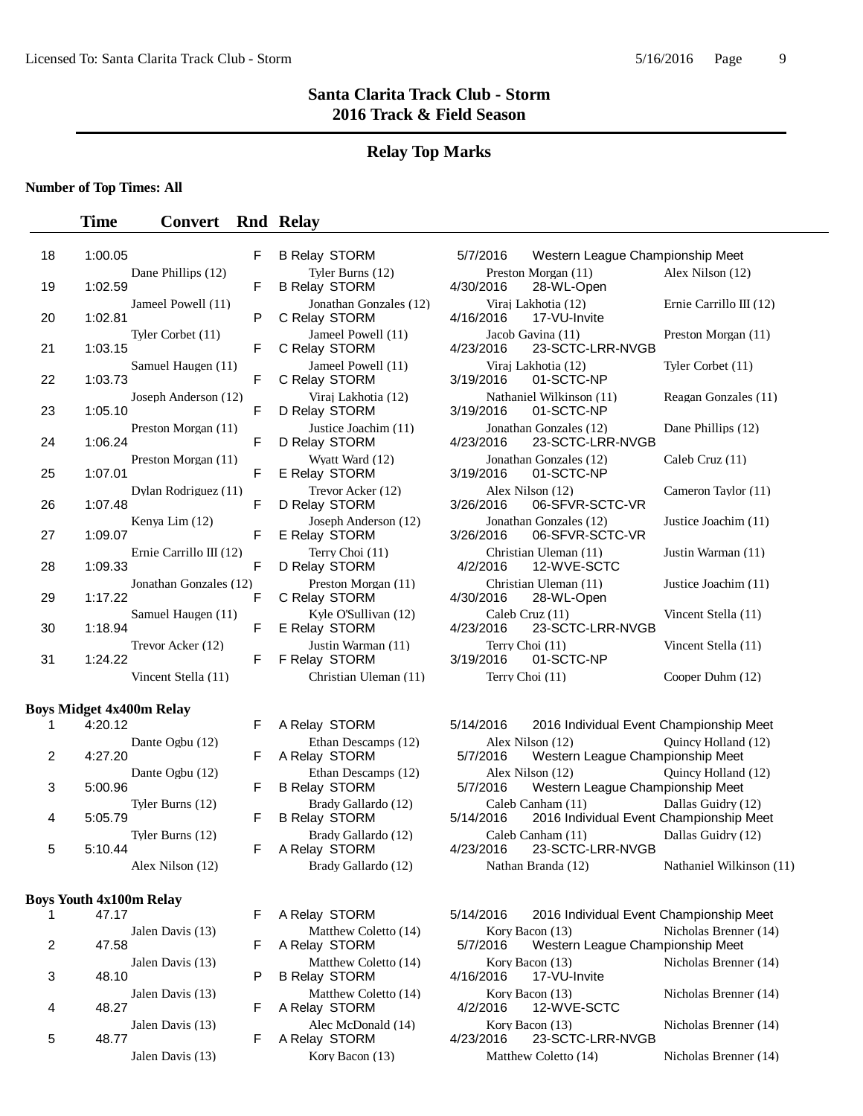### **Relay Top Marks**

### **Number of Top Times: All**

### **Time Convert Rnd Relay**

| 18 | 1:00.05                              | F     |                                                                            | B Relay STORM 5/7/2016 Western League Char                                       |
|----|--------------------------------------|-------|----------------------------------------------------------------------------|----------------------------------------------------------------------------------|
|    | Dane Phillips (12)                   |       |                                                                            |                                                                                  |
| 19 | 1:02.59                              | F.    | <b>B Relay STORM</b>                                                       | Tyler Burns (12) Preston Morgan (11)<br>lay STORM 4/30/2016 28-WL-Open           |
| 20 | Jameel Powell (11)<br>1:02.81        | P     | Jonathan Gonzales (12)<br>C Relay STORM                                    | Virai Lakhotia (12)<br>4/16/2016  17-VU-Invite                                   |
| 21 | Tyler Corbet (11)<br>1:03.15         | F     |                                                                            | Jameel Powell (11) Jacob Gavina (11)<br>C Relay STORM 4/23/2016 23-SCTC-LRR-NVGB |
| 22 | Samuel Haugen (11)<br>1:03.73        | F     | C Relay STORM                                                              | Jameel Powell (11) Viraj Lakhotia (12)<br>3/19/2016 01-SCTC-NP                   |
| 23 | Joseph Anderson (12)<br>1:05.10      | F     | D Relay STORM                                                              | Viraj Lakhotia (12) Nathaniel Wilkinson (11)<br>3/19/2016 01-SCTC-NP             |
| 24 | Preston Morgan (11)<br>1:06.24       | $F -$ | Justice Joachim (11)<br>D Relay STORM                                      | Jonathan Gonzales (12)<br>4/23/2016  23-SCTC-LRR-NVGB                            |
| 25 | Preston Morgan (11)<br>1:07.01       | F     | Wyatt Ward (12)<br>E Relay STORM                                           | Jonathan Gonzales (12)<br>3/19/2016 01-SCTC-NP                                   |
| 26 | Dylan Rodriguez (11)<br>1:07.48      | F     | Trevor Acker (12) Alex Nilson (12)<br>D Relay STORM                        | 3/26/2016    06-SFVR-SCTC-VR                                                     |
| 27 | Kenya Lim (12)<br>1:09.07            | $F =$ | Joseph Anderson (12)<br>E Relay STORM                                      | Jonathan Gonzales (12)<br>3/26/2016    06-SFVR-SCTC-VR                           |
| 28 | Ernie Carrillo III $(12)$<br>1:09.33 | F     | Terry Choi (11)<br>D Relay STORM                                           | Christian Uleman (11)<br>4/2/2016  12-WVE-SCTC                                   |
| 29 | Jonathan Gonzales (12)<br>1:17.22    | F     | Preston Morgan (11)<br>C Relay STORM                                       | Christian Uleman (11)<br>4/30/2016 28-WL-Open                                    |
| 30 | Samuel Haugen (11)<br>1:18.94        | F     | Kyle O'Sullivan (12) Caleb Cruz (11)                                       | E Relay STORM 4/23/2016 23-SCTC-LRR-NVGB                                         |
| 31 | Trevor Acker (12)<br>1:24.22         |       | Justin Warman (11) Terry Choi (11)<br>F F Relay STORM 3/19/2016 01-SCTC-NP |                                                                                  |
|    | Vincent Stella $(11)$                |       | Christian Uleman (11) Terry Choi (11)                                      |                                                                                  |
|    |                                      |       |                                                                            |                                                                                  |

### **Boys Midget 4x400m Relay**

|   | 4.YO 12          |
|---|------------------|
|   | Dante Ogbu (12)  |
| 2 | 4:27.20          |
|   | Dante Ogbu (12)  |
| 3 | 5:00.96          |
|   | Tyler Burns (12) |
| 4 | 5:05.79          |
|   | Tyler Burns (12) |
| 5 | 5:10.44          |
|   | Alex Nilson (12) |
|   |                  |

### **Boys Youth 4x100m Relay**

|   | 47.17                     |    | A Relay STORM                                | 5/14/2016 | 2016 Individ                      |
|---|---------------------------|----|----------------------------------------------|-----------|-----------------------------------|
| 2 | Jalen Davis (13)<br>47.58 | F. | Matthew Coletto (14)<br>A Relay STORM        | 5/7/2016  | Kory Bacon (13)<br>Western Lea    |
| 3 | Jalen Davis (13)<br>48.10 |    | Matthew Coletto (14)<br><b>B Relay STORM</b> | 4/16/2016 | Kory Bacon $(13)$<br>17-VU-Invite |
| 4 | Jalen Davis (13)<br>48.27 | F. | Matthew Coletto (14)<br>A Relay STORM        | 4/2/2016  | Kory Bacon (13)<br>12-WVE-SC      |
| 5 | Jalen Davis (13)<br>48.77 |    | Alec McDonald (14)<br>A Relay STORM          | 4/23/2016 | Kory Bacon (13)<br>23-SCTC-LR     |
|   | Jalen Davis (13)          |    | Kory Bacon (13)                              |           | Matthew Coletto (14)              |

| <b>B Relay STORM</b>                        |  |
|---------------------------------------------|--|
| Brady Gallardo (12)<br><b>B Relay STORM</b> |  |
| Brady Gallardo (12)<br>A Relay STORM        |  |
| Brady Gallardo (12)                         |  |
| A Relay STORM<br>Matthew Coletto (14        |  |

| Matthew Colletto (14) |
|-----------------------|
| A Relay STORM         |
| Matthew Coletto (14)  |
| B Relay STORM         |
| Matthew Coletto (14)  |
| A Relay STORM         |
| Alec McDonald (14)    |
| A Relay STORM         |
| Kory Bacon (13)       |

|                         | F | <b>B Relay STORM</b>                     | 5/7/2016                       | Western League Championship Meet           |                           |
|-------------------------|---|------------------------------------------|--------------------------------|--------------------------------------------|---------------------------|
| Dane Phillips (12)      | F | Tyler Burns (12)<br><b>B Relay STORM</b> | 4/30/2016                      | Preston Morgan (11)<br>28-WL-Open          | Alex Nilson (12)          |
| Jameel Powell (11)      | P | Jonathan Gonzales (12)<br>C Relay STORM  | 4/16/2016                      | Virai Lakhotia (12)<br>17-VU-Invite        | Ernie Carrillo III $(12)$ |
| Tyler Corbet (11)       | F | Jameel Powell (11)<br>C Relay STORM      | 4/23/2016                      | Jacob Gavina (11)<br>23-SCTC-LRR-NVGB      | Preston Morgan (11)       |
| Samuel Haugen (11)      | F | Jameel Powell (11)<br>C Relay STORM      | 3/19/2016                      | Virai Lakhotia (12)<br>01-SCTC-NP          | Tyler Corbet (11)         |
| Joseph Anderson (12)    | F | Virai Lakhotia (12)<br>D Relay STORM     | 3/19/2016                      | Nathaniel Wilkinson (11)<br>01-SCTC-NP     | Reagan Gonzales (11)      |
| Preston Morgan (11)     | F | Justice Joachim (11)<br>D Relay STORM    | 4/23/2016                      | Jonathan Gonzales (12)<br>23-SCTC-LRR-NVGB | Dane Phillips (12)        |
| Preston Morgan (11)     | F | Wyatt Ward (12)<br>E Relay STORM         | 3/19/2016                      | Jonathan Gonzales (12)<br>01-SCTC-NP       | Caleb Cruz $(11)$         |
| Dylan Rodriguez (11)    | F | Trevor Acker (12)<br>D Relay STORM       | 3/26/2016                      | Alex Nilson (12)<br>06-SFVR-SCTC-VR        | Cameron Taylor (11)       |
| Kenya Lim (12)          | F | Joseph Anderson (12)<br>E Relay STORM    | 3/26/2016                      | Jonathan Gonzales (12)<br>06-SFVR-SCTC-VR  | Justice Joachim (11)      |
| Ernie Carrillo III (12) | F | Terry Choi (11)<br>D Relay STORM         | 4/2/2016                       | Christian Uleman (11)<br>12-WVE-SCTC       | Justin Warman (11)        |
| Jonathan Gonzales (12)  | F | Preston Morgan (11)<br>C Relay STORM     | 4/30/2016                      | Christian Uleman (11)<br>28-WL-Open        | Justice Joachim (11)      |
| Samuel Haugen (11)      | F | Kyle O'Sullivan (12)<br>E Relay STORM    | Caleb Cruz $(11)$<br>4/23/2016 | 23-SCTC-LRR-NVGB                           | Vincent Stella (11)       |
| Trevor Acker (12)       | F | Justin Warman (11)<br>F Relay STORM      | Terry Choi (11)<br>3/19/2016   | 01-SCTC-NP                                 | Vincent Stella (11)       |
| Vincent Stella (11)     |   | Christian Uleman (11)                    | Terry Choi (11)                |                                            | Cooper Duhm (12)          |

F A Relay STORM 5/14/2016 2016 Individual Event Championship Meet Ethan Descamps (12) Alex Nilson (12) Quincy Holland (12)<br>F A Relay STORM 5/7/2016 Western League Championship Meet 5/7/2016 Western League Championship Meet Ethan Descamps (12) Alex Nilson (12) Quincy Holland (12)<br>F B Relay STORM 5/7/2016 Western League Championship Meet Western League Championship Meet Brady Gallardo (12) Caleb Canham (11) Dallas Guidry (12)<br>F B Relay STORM 5/14/2016 2016 Individual Event Championship Me 5/14/2016 2016 Individual Event Championship Meet Brady Gallardo (12) Caleb Canham (11) Dallas Guidry (12)<br>F A Relay STORM 4/23/2016 23-SCTC-LRR-NVGB 23-SCTC-LRR-NVGB Nathan Branda (12) Nathaniel Wilkinson (11)

|   | 47.17                     | F. | A Relay STORM                                | 5/14/2016            | 2016 Individual Event Championship Meet               |                       |
|---|---------------------------|----|----------------------------------------------|----------------------|-------------------------------------------------------|-----------------------|
|   | Jalen Davis (13)<br>47.58 |    | Matthew Coletto (14)<br>A Relay STORM        | 5/7/2016             | Kory Bacon $(13)$<br>Western League Championship Meet | Nicholas Brenner (14) |
| 3 | Jalen Davis (13)<br>48.10 |    | Matthew Coletto (14)<br><b>B Relay STORM</b> | 4/16/2016            | Kory Bacon $(13)$<br>17-VU-Invite                     | Nicholas Brenner (14) |
| 4 | Jalen Davis (13)<br>48.27 |    | Matthew Coletto (14)<br>A Relay STORM        | 4/2/2016             | Kory Bacon (13)<br>12-WVE-SCTC                        | Nicholas Brenner (14) |
| 5 | Jalen Davis (13)<br>48.77 |    | Alec McDonald (14)<br>A Relay STORM          | 4/23/2016            | Kory Bacon (13)<br>23-SCTC-LRR-NVGB                   | Nicholas Brenner (14) |
|   | Jalen Davis (13)          |    | Kory Bacon $(13)$                            | Matthew Coletto (14) |                                                       | Nicholas Brenner (14) |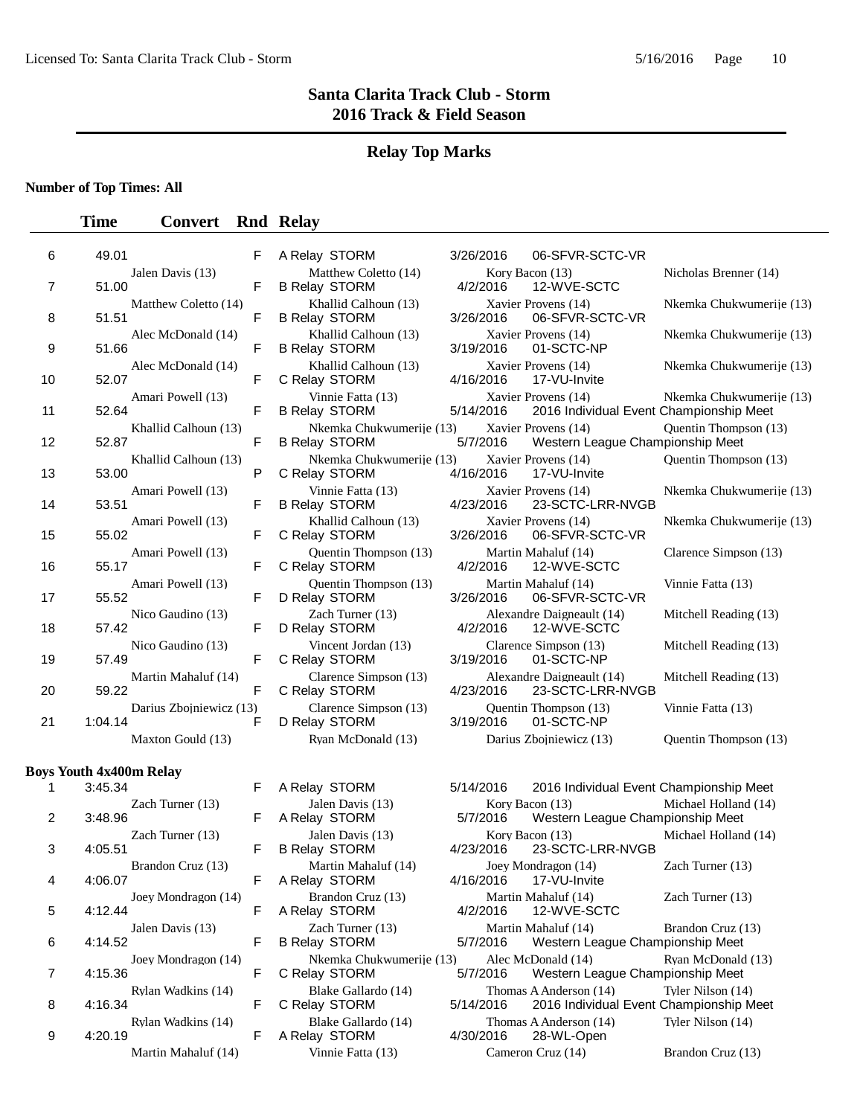### **Relay Top Marks**

**Number of Top Times: All**

### **Time Convert Rnd Relay**

| 6  | 49.01                              | F | A Relay STORM                                    | 3/26/2016 | 06-SFVR-SCTC-VR                                                   |                          |
|----|------------------------------------|---|--------------------------------------------------|-----------|-------------------------------------------------------------------|--------------------------|
| 7  | Jalen Davis (13)<br>51.00          | F | Matthew Coletto (14)<br><b>B Relay STORM</b>     | 4/2/2016  | Kory Bacon (13)<br>12-WVE-SCTC                                    | Nicholas Brenner (14)    |
| 8  | Matthew Coletto (14)<br>51.51      | F | Khallid Calhoun (13)<br><b>B Relay STORM</b>     | 3/26/2016 | Xavier Provens (14)<br>06-SFVR-SCTC-VR                            | Nkemka Chukwumerije (13) |
| 9  | Alec McDonald (14)<br>51.66        | F | Khallid Calhoun (13)<br><b>B Relay STORM</b>     | 3/19/2016 | Xavier Provens (14)<br>01-SCTC-NP                                 | Nkemka Chukwumerije (13) |
| 10 | Alec McDonald (14)<br>52.07        | F | Khallid Calhoun (13)<br>C Relay STORM            | 4/16/2016 | Xavier Provens (14)<br>17-VU-Invite                               | Nkemka Chukwumerije (13) |
| 11 | Amari Powell (13)<br>52.64         | F | Vinnie Fatta (13)<br><b>B Relay STORM</b>        | 5/14/2016 | Xavier Provens (14)<br>2016 Individual Event Championship Meet    | Nkemka Chukwumerije (13) |
| 12 | Khallid Calhoun (13)<br>52.87      | F | Nkemka Chukwumerije (13)<br><b>B Relay STORM</b> | 5/7/2016  | Xavier Provens (14)<br>Western League Championship Meet           | Quentin Thompson (13)    |
| 13 | Khallid Calhoun (13)<br>53.00      | P | Nkemka Chukwumerije (13)<br>C Relay STORM        | 4/16/2016 | Xavier Provens (14)<br>17-VU-Invite                               | Quentin Thompson (13)    |
| 14 | Amari Powell (13)<br>53.51         | F | Vinnie Fatta (13)<br><b>B Relay STORM</b>        | 4/23/2016 | Xavier Provens (14)<br>23-SCTC-LRR-NVGB                           | Nkemka Chukwumerije (13) |
| 15 | Amari Powell (13)<br>55.02         | F | Khallid Calhoun (13)<br>C Relay STORM            | 3/26/2016 | Xavier Provens (14)<br>06-SFVR-SCTC-VR                            | Nkemka Chukwumerije (13) |
| 16 | Amari Powell (13)<br>55.17         | F | Quentin Thompson (13)<br>C Relay STORM           | 4/2/2016  | Martin Mahaluf (14)<br>12-WVE-SCTC                                | Clarence Simpson (13)    |
| 17 | Amari Powell (13)<br>55.52         | F | Quentin Thompson (13)<br>D Relay STORM           | 3/26/2016 | Martin Mahaluf (14)<br>06-SFVR-SCTC-VR                            | Vinnie Fatta (13)        |
| 18 | Nico Gaudino (13)<br>57.42         | F | Zach Turner (13)<br>D Relay STORM                | 4/2/2016  | Alexandre Daigneault (14)<br>12-WVE-SCTC                          | Mitchell Reading (13)    |
| 19 | Nico Gaudino (13)<br>57.49         | F | Vincent Jordan (13)<br>C Relay STORM             | 3/19/2016 | Clarence Simpson (13)<br>01-SCTC-NP                               | Mitchell Reading (13)    |
| 20 | Martin Mahaluf (14)<br>59.22       | F | Clarence Simpson (13)<br>C Relay STORM           | 4/23/2016 | Alexandre Daigneault (14)<br>23-SCTC-LRR-NVGB                     | Mitchell Reading (13)    |
| 21 | Darius Zbojniewicz (13)<br>1:04.14 | F | Clarence Simpson (13)<br>D Relay STORM           | 3/19/2016 | Quentin Thompson (13)<br>01-SCTC-NP                               | Vinnie Fatta (13)        |
|    | Maxton Gould (13)                  |   | Ryan McDonald (13)                               |           | Darius Zbojniewicz (13)                                           | Quentin Thompson (13)    |
|    | <b>Boys Youth 4x400m Relay</b>     |   |                                                  |           |                                                                   |                          |
| 1  | 3:45.34                            | F | A Relay STORM                                    | 5/14/2016 | 2016 Individual Event Championship Meet                           |                          |
| 2  | Zach Turner (13)<br>3:48.96        | F | Jalen Davis (13)<br>A Relay STORM                | 5/7/2016  | Kory Bacon (13)<br>Western League Championship Meet               | Michael Holland (14)     |
| 3  | Zach Turner (13)<br>4:05.51        | F | Jalen Davis (13)<br><b>B Relay STORM</b>         | 4/23/2016 | Kory Bacon (13)<br>23-SCTC-LRR-NVGB                               | Michael Holland (14)     |
| 4  | Brandon Cruz (13)<br>4:06.07       | F | Martin Mahaluf (14)<br>A Relay STORM             | 4/16/2016 | Joey Mondragon (14)<br>17-VU-Invite                               | Zach Turner (13)         |
| 5  | Joey Mondragon (14)<br>4:12.44     | F | Brandon Cruz (13)<br>A Relay STORM               | 4/2/2016  | Martin Mahaluf (14)<br>12-WVE-SCTC                                | Zach Turner (13)         |
| 6  | Jalen Davis (13)<br>4:14.52        | F | Zach Turner (13)<br><b>B Relay STORM</b>         | 5/7/2016  | Martin Mahaluf (14)<br>Western League Championship Meet           | Brandon Cruz (13)        |
| 7  | Joey Mondragon (14)<br>4:15.36     | F | Nkemka Chukwumerije (13)<br>C Relay STORM        | 5/7/2016  | Alec McDonald (14)<br>Western League Championship Meet            | Ryan McDonald (13)       |
| 8  | Rylan Wadkins (14)<br>4:16.34      | F | Blake Gallardo (14)<br>C Relay STORM             | 5/14/2016 | Thomas A Anderson (14)<br>2016 Individual Event Championship Meet | Tyler Nilson (14)        |
| 9  | Rylan Wadkins (14)<br>4:20.19      | F | Blake Gallardo (14)<br>A Relay STORM             | 4/30/2016 | Thomas A Anderson (14)<br>28-WL-Open                              | Tyler Nilson (14)        |

Martin Mahaluf (14) Vinnie Fatta (13) Cameron Cruz (14) Brandon Cruz (13)